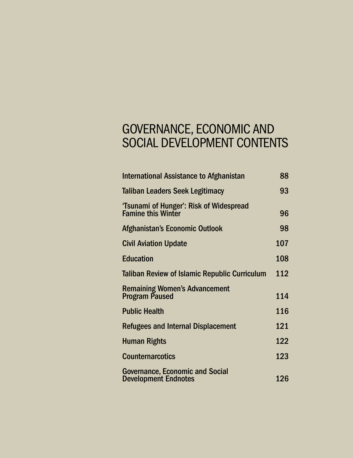# GOVERNANCE, ECONOMIC AND SOCIAL DEVELOPMENT CONTENTS

| <b>International Assistance to Afghanistan</b>                        | 88  |
|-----------------------------------------------------------------------|-----|
| <b>Taliban Leaders Seek Legitimacy</b>                                | 93  |
| 'Tsunami of Hunger': Risk of Widespread<br><b>Famine this Winter</b>  | 96  |
| Afghanistan's Economic Outlook                                        | 98  |
| <b>Civil Aviation Update</b>                                          | 107 |
| <b>Education</b>                                                      | 108 |
| <b>Taliban Review of Islamic Republic Curriculum</b>                  | 112 |
| <b>Remaining Women's Advancement</b><br><b>Program Paused</b>         | 114 |
| <b>Public Health</b>                                                  | 116 |
| Refugees and Internal Displacement                                    | 121 |
| <b>Human Rights</b>                                                   | 122 |
| <b>Counternarcotics</b>                                               | 123 |
| <b>Governance, Economic and Social</b><br><b>Development Endnotes</b> | 126 |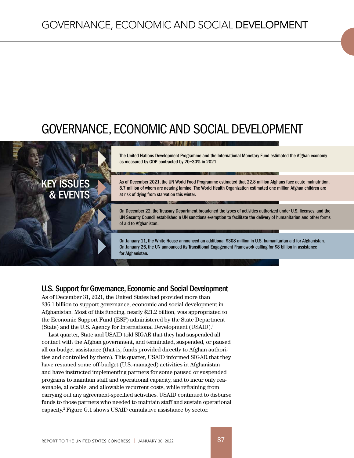# GOVERNANCE, ECONOMIC AND SOCIAL DEVELOPMENT

at risk of dying from starvation this winter.



On December 22, the Treasury Department broadened the types of activities authorized under U.S. licenses, and the UN Security Council established a UN sanctions exemption to facilitate the delivery of humanitarian and other forms of aid to Afghanistan.

8.7 million of whom are nearing famine. The World Health Organization estimated one million Afghan children are

On January 11, the White House announced an additional \$308 million in U.S. humanitarian aid for Afghanistan. On January 26, the UN announced its Transitional Engagement Framework calling for \$8 billion in assistance for Afghanistan.

## U.S. Support for Governance, Economic and Social Development

& EVENTS

As of December 31, 2021, the United States had provided more than \$36.1 billion to support governance, economic and social development in Afghanistan. Most of this funding, nearly \$21.2 billion, was appropriated to the Economic Support Fund (ESF) administered by the State Department (State) and the U.S. Agency for International Development (USAID).<sup>1</sup>

Last quarter, State and USAID told SIGAR that they had suspended all contact with the Afghan government, and terminated, suspended, or paused all on-budget assistance (that is, funds provided directly to Afghan authorities and controlled by them). This quarter, USAID informed SIGAR that they have resumed some off-budget (U.S.-managed) activities in Afghanistan and have instructed implementing partners for some paused or suspended programs to maintain staff and operational capacity, and to incur only reasonable, allocable, and allowable recurrent costs, while refraining from carrying out any agreement-specified activities. USAID continued to disburse funds to those partners who needed to maintain staff and sustain operational capacity.2 Figure G.1 shows USAID cumulative assistance by sector.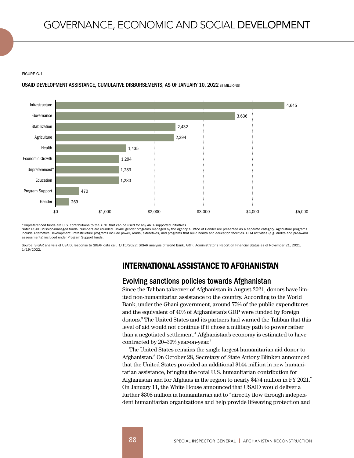#### FIGURE G.1

#### USAID DEVELOPMENT ASSISTANCE, CUMULATIVE DISBURSEMENTS, AS OF JANUARY 10, 2022 (\$ MILLIONS)



\*Unpreferenced funds are U.S. contributions to the ARTF that can be used for any ARTF-supported initiatives.

Note: USAID Mission-managed funds. Numbers are rounded. USAID gender programs managed by the agency's Office of Gender are presented as a separate category. Agriculture programs include Alternative Development. Infrastructure programs include power, roads, extractives, and programs that build health and education facilities. OFM activities (e.g. audits and pre-a assessments) included under Program Support funds.

Source: SIGAR analysis of USAID, response to SIGAR data call, 1/15/2022; SIGAR analysis of World Bank, ARTF, Administrator's Report on Financial Status as of November 21, 2021, 1/19/2022.

# INTERNATIONAL ASSISTANCE TO AFGHANISTAN

## Evolving sanctions policies towards Afghanistan

Since the Taliban takeover of Afghanistan in August 2021, donors have limited non-humanitarian assistance to the country. According to the World Bank, under the Ghani government, around 75% of the public expenditures and the equivalent of 40% of Afghanistan's GDP were funded by foreign donors.3 The United States and its partners had warned the Taliban that this level of aid would not continue if it chose a military path to power rather than a negotiated settlement.4 Afghanistan's economy is estimated to have contracted by 20–30% year-on-year.5

The United States remains the single largest humanitarian aid donor to Afghanistan.6 On October 28, Secretary of State Antony Blinken announced that the United States provided an additional \$144 million in new humanitarian assistance, bringing the total U.S. humanitarian contribution for Afghanistan and for Afghans in the region to nearly \$474 million in FY 2021.7 On January 11, the White House announced that USAID would deliver a further \$308 million in humanitarian aid to "directly flow through independent humanitarian organizations and help provide lifesaving protection and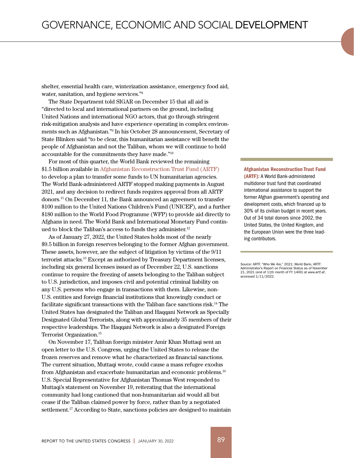shelter, essential health care, winterization assistance, emergency food aid, water, sanitation, and hygiene services."8

The State Department told SIGAR on December 15 that all aid is "directed to local and international partners on the ground, including United Nations and international NGO actors, that go through stringent risk-mitigation analysis and have experience operating in complex environments such as Afghanistan."9 In his October 28 announcement, Secretary of State Blinken said "to be clear, this humanitarian assistance will benefit the people of Afghanistan and not the Taliban, whom we will continue to hold accountable for the commitments they have made."10

For most of this quarter, the World Bank reviewed the remaining \$1.5 billion available in Afghanistan Reconstruction Trust Fund (ARTF) to develop a plan to transfer some funds to UN humanitarian agencies. The World Bank-administered ARTF stopped making payments in August 2021, and any decision to redirect funds requires approval from all ARTF donors.11 On December 11, the Bank announced an agreement to transfer \$100 million to the United Nations Children's Fund (UNICEF), and a further \$180 million to the World Food Programme (WFP) to provide aid directly to Afghans in need. The World Bank and International Monetary Fund continued to block the Taliban's access to funds they administer.<sup>12</sup>

As of January 27, 2022, the United States holds most of the nearly \$9.5 billion in foreign reserves belonging to the former Afghan government. These assets, however, are the subject of litigation by victims of the 9/11 terrorist attacks.13 Except as authorized by Treasury Department licenses, including six general licenses issued as of December 22, U.S. sanctions continue to require the freezing of assets belonging to the Taliban subject to U.S. jurisdiction, and imposes civil and potential criminal liability on any U.S. persons who engage in transactions with them. Likewise, non-U.S. entities and foreign financial institutions that knowingly conduct or facilitate significant transactions with the Taliban face sanctions risk.<sup>14</sup> The United States has designated the Taliban and Haqqani Network as Specially Designated Global Terrorists, along with approximately 35 members of their respective leaderships. The Haqqani Network is also a designated Foreign Terrorist Organization.15

On November 17, Taliban foreign minister Amir Khan Muttaqi sent an open letter to the U.S. Congress, urging the United States to release the frozen reserves and remove what he characterized as financial sanctions. The current situation, Muttaqi wrote, could cause a mass refugee exodus from Afghanistan and exacerbate humanitarian and economic problems.16 U.S. Special Representative for Afghanistan Thomas West responded to Muttaqi's statement on November 19, reiterating that the international community had long cautioned that non-humanitarian aid would all but cease if the Taliban claimed power by force, rather than by a negotiated settlement.<sup>17</sup> According to State, sanctions policies are designed to maintain

Afghanistan Reconstruction Trust Fund (ARTF): A World Bank-administered multidonor trust fund that coordinated international assistance to support the former Afghan government's operating and development costs, which financed up to 30% of its civilian budget in recent years. Out of 34 total donors since 2002, the United States, the United Kingdom, and the European Union were the three leading contributors.

Source: ARTF, "Who We Are," 2021; World Bank, ARTF: Administrator's Report on Financial Status as of November 21, 2021 (end of 11th month of FY 1400) at www.artf.af, accessed 1/11/2022.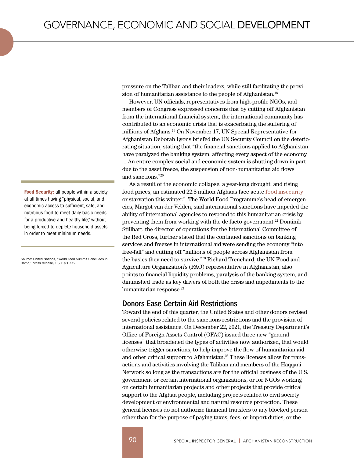Food Security: all people within a society at all times having "physical, social, and economic access to sufficient, safe, and nutritious food to meet daily basic needs for a productive and healthy life," without being forced to deplete household assets in order to meet minimum needs.

Source: United Nations, "World Food Summit Concludes in Rome," press release, 11/19/1996.

pressure on the Taliban and their leaders, while still facilitating the provision of humanitarian assistance to the people of Afghanistan.<sup>18</sup>

However, UN officials, representatives from high-profile NGOs, and members of Congress expressed concerns that by cutting off Afghanistan from the international financial system, the international community has contributed to an economic crisis that is exacerbating the suffering of millions of Afghans.19 On November 17, UN Special Representative for Afghanistan Deborah Lyons briefed the UN Security Council on the deteriorating situation, stating that "the financial sanctions applied to Afghanistan have paralyzed the banking system, affecting every aspect of the economy. ... An entire complex social and economic system is shutting down in part due to the asset freeze, the suspension of non-humanitarian aid flows and sanctions."20

As a result of the economic collapse, a year-long drought, and rising food prices, an estimated 22.8 million Afghans face acute food insecurity or starvation this winter.21 The World Food Programme's head of emergencies, Margot van der Velden, said international sanctions have impeded the ability of international agencies to respond to this humanitarian crisis by preventing them from working with the de facto government.<sup>22</sup> Dominik Stillhart, the director of operations for the International Committee of the Red Cross, further stated that the continued sanctions on banking services and freezes in international aid were sending the economy "into free-fall" and cutting off "millions of people across Afghanistan from the basics they need to survive."23 Richard Trenchard, the UN Food and Agriculture Organization's (FAO) representative in Afghanistan, also points to financial liquidity problems, paralysis of the banking system, and diminished trade as key drivers of both the crisis and impediments to the humanitarian response.<sup>24</sup>

#### Donors Ease Certain Aid Restrictions

Toward the end of this quarter, the United States and other donors revised several policies related to the sanctions restrictions and the provision of international assistance. On December 22, 2021, the Treasury Department's Office of Foreign Assets Control (OFAC) issued three new "general licenses" that broadened the types of activities now authorized, that would otherwise trigger sanctions, to help improve the flow of humanitarian aid and other critical support to Afghanistan.<sup>25</sup> These licenses allow for transactions and activities involving the Taliban and members of the Haqqani Network so long as the transactions are for the official business of the U.S. government or certain international organizations, or for NGOs working on certain humanitarian projects and other projects that provide critical support to the Afghan people, including projects related to civil society development or environmental and natural resource protection. These general licenses do not authorize financial transfers to any blocked person other than for the purpose of paying taxes, fees, or import duties, or the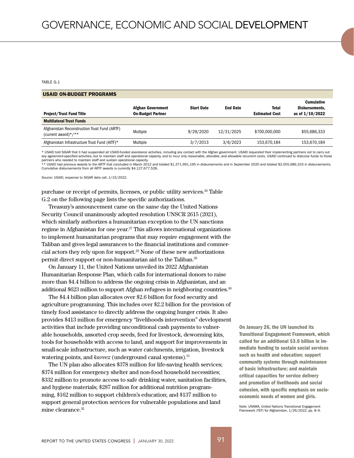TABLE G.1

#### USAID ON-BUDGET PROGRAMS

| <b>Afghan Government</b><br><b>On-Budget Partner</b> | <b>Start Date</b> | <b>End Date</b> | Total<br><b>Estimated Cost</b> | <b>Cumulative</b><br>Disbursements.<br>as of 1/10/2022 |
|------------------------------------------------------|-------------------|-----------------|--------------------------------|--------------------------------------------------------|
|                                                      |                   |                 |                                |                                                        |
| Multiple                                             | 9/29/2020         | 12/31/2025      | \$700,000,000                  | \$55,686,333                                           |
| Multiple                                             | 3/7/2013          | 3/6/2023        | 153,670,184                    | 153,670,184                                            |
|                                                      |                   |                 |                                |                                                        |

\* USAID told SIGAR that it had suspended all USAID-funded assistance activities, including any contact with the Afghan government. USAID requested their implementing partners not to carry out any agreement-specified activities, but to maintain staff and operational capacity, and to incur only reasonable, allocable, and allowable recurrent costs. USAID continued to disburse funds to those

partners who needed to maintain staff and sustain operational capacity.<br>\*\* USAID had previous awards to the ARTF that concluded in March 2012 and totaled \$1,371,991,195 in disbursements and in September 2020 and totaled \$2 Cumulative disbursements from all ARTF awards is currently \$4,127,677,528.

Source: USAID, response to SIGAR data call, 1/15/2022.

purchase or receipt of permits, licenses, or public utility services.<sup>26</sup> Table G.2 on the following page lists the specific authorizations.

Treasury's announcement came on the same day the United Nations Security Council unanimously adopted resolution UNSCR 2615 (2021), which similarly authorizes a humanitarian exception to the UN sanctions regime in Afghanistan for one year.<sup>27</sup> This allows international organizations to implement humanitarian programs that may require engagement with the Taliban and gives legal assurances to the financial institutions and commercial actors they rely upon for support.28 None of these new authorizations permit direct support or non-humanitarian aid to the Taliban.29

On January 11, the United Nations unveiled its 2022 Afghanistan Humanitarian Response Plan, which calls for international donors to raise more than \$4.4 billion to address the ongoing crisis in Afghanistan, and an additional \$623 million to support Afghan refugees in neighboring countries.<sup>30</sup>

The \$4.4 billion plan allocates over \$2.6 billion for food security and agriculture programming. This includes over \$2.2 billion for the provision of timely food assistance to directly address the ongoing hunger crisis. It also provides \$413 million for emergency "livelihoods intervention" development activities that include providing unconditional cash payments to vulnerable households, assorted crop seeds, feed for livestock, deworming kits, tools for households with access to land, and support for improvements in small-scale infrastructure, such as water catchments, irrigation, livestock watering points, and *kareez* (underground canal systems).<sup>31</sup>

The UN plan also allocates \$378 million for life-saving health services; \$374 million for emergency shelter and non-food household necessities; \$332 million to promote access to safe drinking water, sanitation facilities, and hygiene materials; \$287 million for additional nutrition programming, \$162 million to support children's education; and \$137 million to support general protection services for vulnerable populations and land mine clearance.<sup>32</sup>

On January 26, the UN launched its Transitional Engagement Framework, which called for an additional \$3.6 billion in immediate funding to sustain social services such as health and education; support community systems through maintenance of basic infrastructure; and maintain critical capacities for service delivery and promotion of livelihoods and social cohesion, with specific emphasis on socioeconomic needs of women and girls.

Note: UNAMA, United Nations Transitional Engagement Framework (TEF) for Afghanistan, 1/26/2022, pp. 8–9.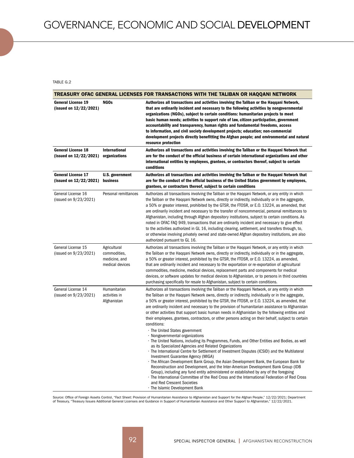TABLE G.2

|                                                     | TREASURY OFAC GENERAL LICENSES FOR TRANSACTIONS WITH THE TALIBAN OR HAQQANI NETWORK |                                                                                                                                                                                                                                                                                                                                                                                                                                                                                                                                                                                                                                                                                                                                                                                                                                                                                                                                                                                                                                                                                                                                                                                                                                                                                                                                                                                                                                                      |  |  |  |  |
|-----------------------------------------------------|-------------------------------------------------------------------------------------|------------------------------------------------------------------------------------------------------------------------------------------------------------------------------------------------------------------------------------------------------------------------------------------------------------------------------------------------------------------------------------------------------------------------------------------------------------------------------------------------------------------------------------------------------------------------------------------------------------------------------------------------------------------------------------------------------------------------------------------------------------------------------------------------------------------------------------------------------------------------------------------------------------------------------------------------------------------------------------------------------------------------------------------------------------------------------------------------------------------------------------------------------------------------------------------------------------------------------------------------------------------------------------------------------------------------------------------------------------------------------------------------------------------------------------------------------|--|--|--|--|
| <b>General License 19</b><br>(issued on 12/22/2021) | NGO <sub>s</sub>                                                                    | Authorizes all transactions and activities involving the Taliban or the Haqqani Network,<br>that are ordinarily incident and necessary to the following activities by nongovernmental<br>organizations (NGOs), subject to certain conditions: humanitarian projects to meet<br>basic human needs; activities to support rule of law, citizen participation, government<br>accountability and transparency, human rights and fundamental freedoms, access<br>to information, and civil society development projects; education; non-commercial<br>development projects directly benefitting the Afghan people; and environmental and natural<br>resource protection                                                                                                                                                                                                                                                                                                                                                                                                                                                                                                                                                                                                                                                                                                                                                                                   |  |  |  |  |
| <b>General License 18</b><br>(issued on 12/22/2021) | <b>International</b><br>organizations                                               | Authorizes all transactions and activities involving the Taliban or the Haqqani Network that<br>are for the conduct of the official business of certain international organizations and other<br>international entities by employees, grantees, or contractors thereof, subject to certain<br>conditions                                                                                                                                                                                                                                                                                                                                                                                                                                                                                                                                                                                                                                                                                                                                                                                                                                                                                                                                                                                                                                                                                                                                             |  |  |  |  |
| <b>General License 17</b><br>(issued on 12/22/2021) | <b>U.S. government</b><br>business                                                  | Authorizes all transactions and activities involving the Taliban or the Haqqani Network that<br>are for the conduct of the official business of the United States government by employees,<br>grantees, or contractors thereof, subject to certain conditions                                                                                                                                                                                                                                                                                                                                                                                                                                                                                                                                                                                                                                                                                                                                                                                                                                                                                                                                                                                                                                                                                                                                                                                        |  |  |  |  |
| General License 16<br>(issued on 9/23/2021)         | Personal remittances                                                                | Authorizes all transactions involving the Taliban or the Haggani Network, or any entity in which<br>the Taliban or the Haggani Network owns, directly or indirectly, individually or in the aggregate,<br>a 50% or greater interest, prohibited by the GTSR, the FTOSR, or E.O. 13224, as amended, that<br>are ordinarily incident and necessary to the transfer of noncommercial, personal remittances to<br>Afghanistan, including through Afghan depository institutions, subject to certain conditions. As<br>noted in OFAC FAQ 949, transactions that are ordinarily incident and necessary to give effect<br>to the activities authorized in GL 16, including clearing, settlement, and transfers through, to,<br>or otherwise involving privately owned and state-owned Afghan depository institutions, are also<br>authorized pursuant to GL 16.                                                                                                                                                                                                                                                                                                                                                                                                                                                                                                                                                                                             |  |  |  |  |
| General License 15<br>(issued on 9/23/2021)         | Agricultural<br>commodities,<br>medicine, and<br>medical devices                    | Authorizes all transactions involving the Taliban or the Haqqani Network, or any entity in which<br>the Taliban or the Haggani Network owns, directly or indirectly, individually or in the aggregate,<br>a 50% or greater interest, prohibited by the GTSR, the FTOSR, or E.O. 13224, as amended,<br>that are ordinarily incident and necessary to the exportation or re-exportation of agricultural<br>commodities, medicine, medical devices, replacement parts and components for medical<br>devices, or software updates for medical devices to Afghanistan, or to persons in third countries<br>purchasing specifically for resale to Afghanistan, subject to certain conditions.                                                                                                                                                                                                                                                                                                                                                                                                                                                                                                                                                                                                                                                                                                                                                              |  |  |  |  |
| General License 14<br>(issued on 9/23/2021)         | Humanitarian<br>activities in<br>Afghanistan                                        | Authorizes all transactions involving the Taliban or the Haggani Network, or any entity in which<br>the Taliban or the Haqqani Network owns, directly or indirectly, individually or in the aggregate,<br>a 50% or greater interest, prohibited by the GTSR, the FTOSR, or E.O. 13224, as amended, that<br>are ordinarily incident and necessary to the provision of humanitarian assistance to Afghanistan<br>or other activities that support basic human needs in Afghanistan by the following entities and<br>their employees, grantees, contractors, or other persons acting on their behalf, subject to certain<br>conditions:<br>· The United States government<br>· Nongovernmental organizations<br>· The United Nations, including its Programmes, Funds, and Other Entities and Bodies, as well<br>as its Specialized Agencies and Related Organizations<br>· The International Centre for Settlement of Investment Disputes (ICSID) and the Multilateral<br>Investment Guarantee Agency (MIGA)<br>· The African Development Bank Group, the Asian Development Bank, the European Bank for<br>Reconstruction and Development, and the Inter-American Development Bank Group (IDB<br>Group), including any fund entity administered or established by any of the foregoing<br>· The International Committee of the Red Cross and the International Federation of Red Cross<br>and Red Crescent Societies<br>· The Islamic Development Bank |  |  |  |  |

Source: Office of Foreign Assets Control, "Fact Sheet: Provision of Humanitarian Assistance to Afghanistan and Support for the Afghan People," 12/22/2021; Department<br>of Treasury, "Treasury Issues Additional General License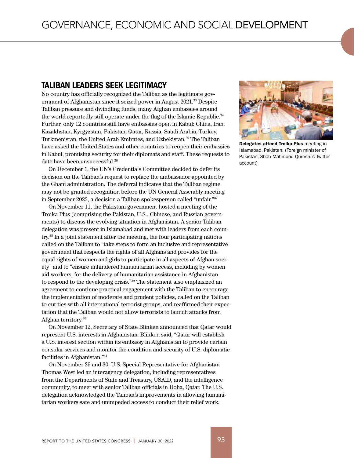# TALIBAN LEADERS SEEK LEGITIMACY

No country has officially recognized the Taliban as the legitimate government of Afghanistan since it seized power in August 2021.<sup>33</sup> Despite Taliban pressure and dwindling funds, many Afghan embassies around the world reportedly still operate under the flag of the Islamic Republic.<sup>34</sup> Further, only 12 countries still have embassies open in Kabul: China, Iran, Kazakhstan, Kyrgyzstan, Pakistan, Qatar, Russia, Saudi Arabia, Turkey, Turkmenistan, the United Arab Emirates, and Uzbekistan.<sup>35</sup> The Taliban have asked the United States and other countries to reopen their embassies in Kabul, promising security for their diplomats and staff. These requests to date have been unsuccessful.<sup>36</sup>

On December 1, the UN's Credentials Committee decided to defer its decision on the Taliban's request to replace the ambassador appointed by the Ghani administration. The deferral indicates that the Taliban regime may not be granted recognition before the UN General Assembly meeting in September 2022, a decision a Taliban spokesperson called "unfair."37

On November 11, the Pakistani government hosted a meeting of the Troika Plus (comprising the Pakistan, U.S., Chinese, and Russian governments) to discuss the evolving situation in Afghanistan. A senior Taliban delegation was present in Islamabad and met with leaders from each country.<sup>38</sup> In a joint statement after the meeting, the four participating nations called on the Taliban to "take steps to form an inclusive and representative government that respects the rights of all Afghans and provides for the equal rights of women and girls to participate in all aspects of Afghan society" and to "ensure unhindered humanitarian access, including by women aid workers, for the delivery of humanitarian assistance in Afghanistan to respond to the developing crisis."<sup>39</sup> The statement also emphasized an agreement to continue practical engagement with the Taliban to encourage the implementation of moderate and prudent policies, called on the Taliban to cut ties with all international terrorist groups, and reaffirmed their expectation that the Taliban would not allow terrorists to launch attacks from Afghan territory.<sup>40</sup>

On November 12, Secretary of State Blinken announced that Qatar would represent U.S. interests in Afghanistan. Blinken said, "Qatar will establish a U.S. interest section within its embassy in Afghanistan to provide certain consular services and monitor the condition and security of U.S. diplomatic facilities in Afghanistan."41

On November 29 and 30, U.S. Special Representative for Afghanistan Thomas West led an interagency delegation, including representatives from the Departments of State and Treasury, USAID, and the intelligence community, to meet with senior Taliban officials in Doha, Qatar. The U.S. delegation acknowledged the Taliban's improvements in allowing humanitarian workers safe and unimpeded access to conduct their relief work.



Delegates attend Troika Plus meeting in Islamabad, Pakistan. (Foreign minister of Pakistan, Shah Mahmood Qureshi's Twitter account)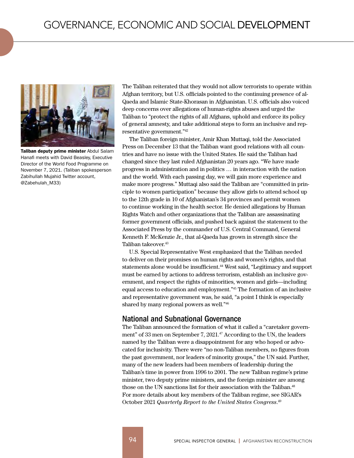

Taliban deputy prime minister Abdul Salam Hanafi meets with David Beasley, Executive Director of the World Food Programme on November 7, 2021. (Taliban spokesperson Zabihullah Mujahid Twitter account, @Zabehulah\_M33)

The Taliban reiterated that they would not allow terrorists to operate within Afghan territory, but U.S. officials pointed to the continuing presence of al-Qaeda and Islamic State-Khorasan in Afghanistan. U.S. officials also voiced deep concerns over allegations of human-rights abuses and urged the Taliban to "protect the rights of all Afghans, uphold and enforce its policy of general amnesty, and take additional steps to form an inclusive and representative government."42

The Taliban foreign minister, Amir Khan Muttaqi, told the Associated Press on December 13 that the Taliban want good relations with all countries and have no issue with the United States. He said the Taliban had changed since they last ruled Afghanistan 20 years ago. "We have made progress in administration and in politics … in interaction with the nation and the world. With each passing day, we will gain more experience and make more progress." Muttaqi also said the Taliban are "committed in principle to women participation" because they allow girls to attend school up to the 12th grade in 10 of Afghanistan's 34 provinces and permit women to continue working in the health sector. He denied allegations by Human Rights Watch and other organizations that the Taliban are assassinating former government officials, and pushed back against the statement to the Associated Press by the commander of U.S. Central Command, General Kenneth F. McKenzie Jr., that al-Qaeda has grown in strength since the Taliban takeover.<sup>43</sup>

U.S. Special Representative West emphasized that the Taliban needed to deliver on their promises on human rights and women's rights, and that statements alone would be insufficient.<sup>44</sup> West said, "Legitimacy and support must be earned by actions to address terrorism, establish an inclusive government, and respect the rights of minorities, women and girls—including equal access to education and employment."<sup>45</sup> The formation of an inclusive and representative government was, he said, "a point I think is especially shared by many regional powers as well."<sup>46</sup>

#### National and Subnational Governance

The Taliban announced the formation of what it called a "caretaker government" of 33 men on September 7, 2021.<sup>47</sup> According to the UN, the leaders named by the Taliban were a disappointment for any who hoped or advocated for inclusivity. There were "no non-Taliban members, no figures from the past government, nor leaders of minority groups," the UN said. Further, many of the new leaders had been members of leadership during the Taliban's time in power from 1996 to 2001. The new Taliban regime's prime minister, two deputy prime ministers, and the foreign minister are among those on the UN sanctions list for their association with the Taliban.<sup>48</sup> For more details about key members of the Taliban regime, see SIGAR's October 2021 *Quarterly Report to the United States Congress*. 49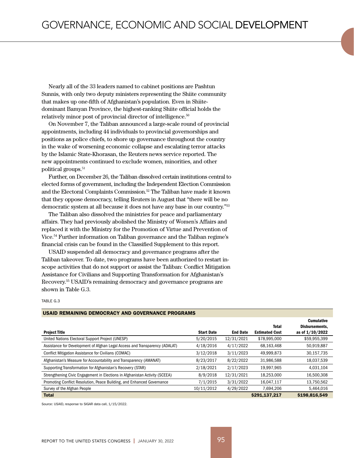Nearly all of the 33 leaders named to cabinet positions are Pashtun Sunnis, with only two deputy ministers representing the Shiite community that makes up one-fifth of Afghanistan's population. Even in Shiitedominant Bamyan Province, the highest-ranking Shiite official holds the relatively minor post of provincial director of intelligence.50

On November 7, the Taliban announced a large-scale round of provincial appointments, including 44 individuals to provincial governorships and positions as police chiefs, to shore up governance throughout the country in the wake of worsening economic collapse and escalating terror attacks by the Islamic State-Khorasan, the Reuters news service reported. The new appointments continued to exclude women, minorities, and other political groups.<sup>51</sup>

Further, on December 26, the Taliban dissolved certain institutions central to elected forms of government, including the Independent Election Commission and the Electoral Complaints Commission.<sup>52</sup> The Taliban have made it known that they oppose democracy, telling Reuters in August that "there will be no democratic system at all because it does not have any base in our country."53

The Taliban also dissolved the ministries for peace and parliamentary affairs. They had previously abolished the Ministry of Women's Affairs and replaced it with the Ministry for the Promotion of Virtue and Prevention of Vice.54 Further information on Taliban governance and the Taliban regime's financial crisis can be found in the Classified Supplement to this report.

USAID suspended all democracy and governance programs after the Taliban takeover. To date, two programs have been authorized to restart inscope activities that do not support or assist the Taliban: Conflict Mitigation Assistance for Civilians and Supporting Transformation for Afghanistan's Recovery.55 USAID's remaining democracy and governance programs are shown in Table G.3.

#### TABLE G.3

|                                                                             |                   |                 |                       | <b>Cumulative</b> |
|-----------------------------------------------------------------------------|-------------------|-----------------|-----------------------|-------------------|
|                                                                             |                   |                 | <b>Total</b>          | Disbursements.    |
| <b>Project Title</b>                                                        | <b>Start Date</b> | <b>End Date</b> | <b>Estimated Cost</b> | as of 1/10/2022   |
| United Nations Electoral Support Project (UNESP)                            | 5/20/2015         | 12/31/2021      | \$78,995,000          | \$59,955,399      |
| Assistance for Development of Afghan Legal Access and Transparency (ADALAT) | 4/18/2016         | 4/17/2022       | 68,163,468            | 50,919,887        |
| <b>Conflict Mitigation Assistance for Civilians (COMAC)</b>                 | 3/12/2018         | 3/11/2023       | 49,999,873            | 30,157,735        |
| Afghanistan's Measure for Accountability and Transparency (AMANAT)          | 8/23/2017         | 8/22/2022       | 31,986,588            | 18,037,539        |
| Supporting Transformation for Afghanistan's Recovery (STAR)                 | 2/18/2021         | 2/17/2023       | 19,997,965            | 4.031,104         |
| Strengthening Civic Engagement in Elections in Afghanistan Activity (SCEEA) | 8/9/2018          | 12/31/2021      | 18.253.000            | 16.500.308        |
| Promoting Conflict Resolution, Peace Building, and Enhanced Governance      | 7/1/2015          | 3/31/2022       | 16,047,117            | 13,750,562        |
| Survey of the Afghan People                                                 | 10/11/2012        | 4/29/2022       | 7,694,206             | 5,464,016         |
| <b>Total</b>                                                                |                   |                 | \$291.137.217         | \$198,816,549     |

#### USAID REMAINING DEMOCRACY AND GOVERNANCE PROGRAMS

Source: USAID, response to SIGAR data call, 1/15/2022.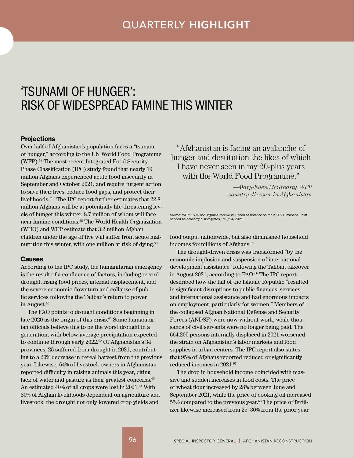# <span id="page-10-0"></span>'TSUNAMI OF HUNGER': RISK OF WIDESPREAD FAMINE THIS WINTER

#### **Projections**

Over half of Afghanistan's population faces a "tsunami of hunger," according to the UN World Food Programme (WFP).<sup>56</sup> The most recent Integrated Food Security Phase Classification (IPC) study found that nearly 19 million Afghans experienced acute food insecurity in September and October 2021, and require "urgent action to save their lives, reduce food gaps, and protect their livelihoods."<sup>57</sup> The IPC report further estimates that 22.8 million Afghans will be at potentially life-threatening levels of hunger this winter, 8.7 million of whom will face near-famine conditions.58 The World Health Organization (WHO) and WFP estimate that 3.2 million Afghan children under the age of five will suffer from acute malnutrition this winter, with one million at risk of dying.<sup>59</sup>

#### Causes

According to the IPC study, the humanitarian emergency is the result of a confluence of factors, including record drought, rising food prices, internal displacement, and the severe economic downturn and collapse of public services following the Taliban's return to power in August.<sup>60</sup>

The FAO points to drought conditions beginning in late 2020 as the origin of this crisis.<sup>61</sup> Some humanitarian officials believe this to be the worst drought in a generation, with below-average precipitation expected to continue through early  $2022.^{\circ}$  Of Afghanistan's 34 provinces, 25 suffered from drought in 2021, contributing to a 20% decrease in cereal harvest from the previous year. Likewise, 64% of livestock owners in Afghanistan reported difficulty in raising animals this year, citing lack of water and pasture as their greatest concerns.<sup>63</sup> An estimated 40% of all crops were lost in 2021.<sup>64</sup> With 80% of Afghan livelihoods dependent on agriculture and livestock, the drought not only lowered crop yields and

"Afghanistan is facing an avalanche of hunger and destitution the likes of which I have never seen in my 20-plus years with the World Food Programme."

> *—Mary-Ellen McGroarty, WFP country director in Afghanistan*

Source: WFP, "15 million Afghans receive WFP food assistance so far in 2021; massive uplift needed as economy disintegrates," 12/14/2021.

food output nationwide, but also diminished household incomes for millions of Afghans.<sup>65</sup>

The drought-driven crisis was transformed "by the economic implosion and suspension of international development assistance" following the Taliban takeover in August 2021, according to FAO.<sup>66</sup> The IPC report described how the fall of the Islamic Republic "resulted in significant disruptions to public finances, services, and international assistance and had enormous impacts on employment, particularly for women." Members of the collapsed Afghan National Defense and Security Forces (ANDSF) were now without work, while thousands of civil servants were no longer being paid. The 664,200 persons internally displaced in 2021 worsened the strain on Afghanistan's labor markets and food supplies in urban centers. The IPC report also states that 95% of Afghans reported reduced or significantly reduced incomes in 2021.67

The drop in household income coincided with massive and sudden increases in food costs. The price of wheat flour increased by 28% between June and September 2021, while the price of cooking oil increased 55% compared to the previous year.<sup>68</sup> The price of fertilizer likewise increased from 25–30% from the prior year.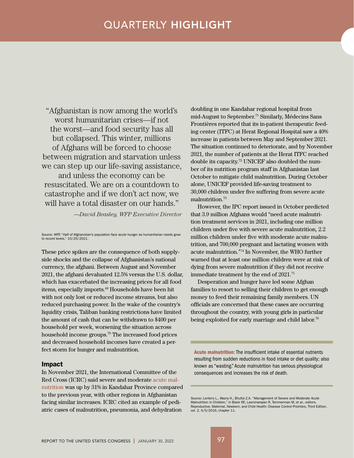# QUARTERLY HIGHLIGHT

"Afghanistan is now among the world's worst humanitarian crises—if not the worst—and food security has all but collapsed. This winter, millions of Afghans will be forced to choose between migration and starvation unless we can step up our life-saving assistance, and unless the economy can be

resuscitated. We are on a countdown to catastrophe and if we don't act now, we will have a total disaster on our hands."

*—David Beasley, WFP Executive Director*

Source: WFP, "Half of Afghanistan's population face acute hunger as humanitarian needs grow to record levels," 10/25/2021.

These price spikes are the consequence of both supplyside shocks and the collapse of Afghanistan's national currency, the afghani. Between August and November 2021, the afghani devaluated 12.5% versus the U.S. dollar, which has exacerbated the increasing prices for all food items, especially imports.69 Households have been hit with not only lost or reduced income streams, but also reduced purchasing power. In the wake of the country's liquidity crisis, Taliban banking restrictions have limited the amount of cash that can be withdrawn to \$400 per household per week, worsening the situation across household income groups.70 The increased food prices and decreased household incomes have created a perfect storm for hunger and malnutrition.

#### Impact

In November 2021, the International Committee of the Red Cross (ICRC) said severe and moderate acute malnutrition was up by 31% in Kandahar Province compared to the previous year, with other regions in Afghanistan facing similar increases. ICRC cited an example of pediatric cases of malnutrition, pneumonia, and dehydration

doubling in one Kandahar regional hospital from mid-August to September.<sup>71</sup> Similarly, Médecins Sans Frontières reported that its in-patient therapeutic feeding center (ITFC) at Herat Regional Hospital saw a 40% increase in patients between May and September 2021. The situation continued to deteriorate, and by November 2021, the number of patients at the Herat ITFC reached double its capacity.72 UNICEF also doubled the number of its nutrition program staff in Afghanistan last October to mitigate child malnutrition. During October alone, UNICEF provided life-saving treatment to 30,000 children under five suffering from severe acute malnutrition.<sup>73</sup>

However, the IPC report issued in October predicted that 3.9 million Afghans would "need acute malnutrition treatment services in 2021, including one million children under five with severe acute malnutrition, 2.2 million children under five with moderate acute malnutrition, and 700,000 pregnant and lactating women with acute malnutrition."<sup>74</sup> In November, the WHO further warned that at least one million children were at risk of dying from severe malnutrition if they did not receive immediate treatment by the end of 2021.<sup>75</sup>

Desperation and hunger have led some Afghan families to resort to selling their children to get enough money to feed their remaining family members. UN officials are concerned that these cases are occurring throughout the country, with young girls in particular being exploited for early marriage and child labor.<sup>76</sup>

Acute malnutrition: The insufficient intake of essential nutrients resulting from sudden reductions in food intake or diet quality; also known as "wasting." Acute malnutrition has serious physiological consequences and increases the risk of death.

Source: Lenters L., Wazny K., Bhutta Z.A. "Management of Severe and Moderate Acute Malnutrition in Children," in Black RE, Laxminarayan R, Temmerman M, et al., editors. Reproductive, Maternal, Newborn, and Child Health: Disease Control Priorities, Third Edition, vol. 2, 4/5/2016, chapter 11.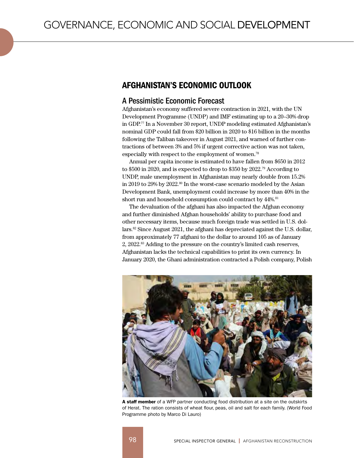# AFGHANISTAN'S ECONOMIC OUTLOOK

## A Pessimistic Economic Forecast

Afghanistan's economy suffered severe contraction in 2021, with the UN Development Programme (UNDP) and IMF estimating up to a 20–30% drop in GDP.<sup>77</sup> In a November 30 report, UNDP modeling estimated Afghanistan's nominal GDP could fall from \$20 billion in 2020 to \$16 billion in the months following the Taliban takeover in August 2021, and warned of further contractions of between 3% and 5% if urgent corrective action was not taken, especially with respect to the employment of women. 78

Annual per capita income is estimated to have fallen from \$650 in 2012 to \$500 in 2020, and is expected to drop to \$350 by 2022.<sup>79</sup> According to UNDP, male unemployment in Afghanistan may nearly double from 15.2% in 2019 to 29% by 2022.<sup>80</sup> In the worst-case scenario modeled by the Asian Development Bank, unemployment could increase by more than 40% in the short run and household consumption could contract by  $44\%$ .<sup>81</sup>

The devaluation of the afghani has also impacted the Afghan economy and further diminished Afghan households' ability to purchase food and other necessary items, because much foreign trade was settled in U.S. dollars.82 Since August 2021, the afghani has depreciated against the U.S. dollar, from approximately 77 afghani to the dollar to around 105 as of January 2, 2022.83 Adding to the pressure on the country's limited cash reserves, Afghanistan lacks the technical capabilities to print its own currency. In January 2020, the Ghani administration contracted a Polish company, Polish



A staff member of a WFP partner conducting food distribution at a site on the outskirts of Herat. The ration consists of wheat flour, peas, oil and salt for each family. (World Food Programme photo by Marco Di Lauro)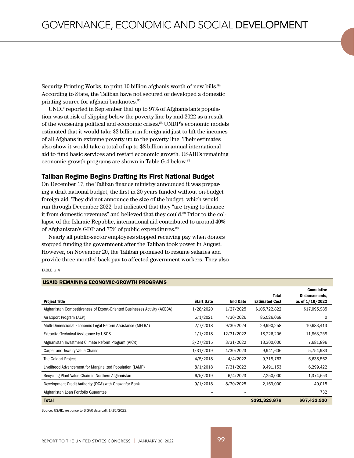Security Printing Works, to print 10 billion afghanis worth of new bills.<sup>84</sup> According to State, the Taliban have not secured or developed a domestic printing source for afghani banknotes.<sup>85</sup>

UNDP reported in September that up to 97% of Afghanistan's population was at risk of slipping below the poverty line by mid-2022 as a result of the worsening political and economic crises.<sup>86</sup> UNDP's economic models estimated that it would take \$2 billion in foreign aid just to lift the incomes of all Afghans in extreme poverty up to the poverty line. Their estimates also show it would take a total of up to \$8 billion in annual international aid to fund basic services and restart economic growth. USAID's remaining economic-growth programs are shown in Table G.4 below.<sup>87</sup>

#### Taliban Regime Begins Drafting Its First National Budget

On December 17, the Taliban finance ministry announced it was preparing a draft national budget, the first in 20 years funded without on-budget foreign aid. They did not announce the size of the budget, which would run through December 2022, but indicated that they "are trying to finance it from domestic revenues" and believed that they could.<sup>88</sup> Prior to the collapse of the Islamic Republic, international aid contributed to around 40% of Afghanistan's GDP and 75% of public expenditures.<sup>89</sup>

Nearly all public-sector employees stopped receiving pay when donors stopped funding the government after the Taliban took power in August. However, on November 20, the Taliban promised to resume salaries and provide three months' back pay to affected government workers. They also

#### TABLE G.4

| <b>Project Title</b>                                                       | <b>Start Date</b> | <b>End Date</b> | <b>Total</b><br><b>Estimated Cost</b> | <b>Cumulative</b><br>Disbursements,<br>as of $1/10/2022$ |
|----------------------------------------------------------------------------|-------------------|-----------------|---------------------------------------|----------------------------------------------------------|
| Afghanistan Competitiveness of Export-Oriented Businesses Activity (ACEBA) | 1/28/2020         | 1/27/2025       | \$105,722,822                         | \$17,095,985                                             |
| Air Export Program (AEP)                                                   | 5/1/2021          | 4/30/2026       | 85,526,068                            | $\Omega$                                                 |
| Multi-Dimensional Economic Legal Reform Assistance (MELRA)                 | 2/7/2018          | 9/30/2024       | 29,990,258                            | 10,683,413                                               |
| <b>Extractive Technical Assistance by USGS</b>                             | 1/1/2018          | 12/31/2022      | 18,226,206                            | 11,863,258                                               |
| Afghanistan Investment Climate Reform Program (AICR)                       | 3/27/2015         | 3/31/2022       | 13,300,000                            | 7,681,896                                                |
| Carpet and Jewelry Value Chains                                            | 1/31/2019         | 4/30/2023       | 9,941,606                             | 5,754,983                                                |
| The Goldozi Project                                                        | 4/5/2018          | 4/4/2022        | 9,718,763                             | 6,638,562                                                |
| Livelihood Advancement for Marginalized Population (LAMP)                  | 8/1/2018          | 7/31/2022       | 9,491,153                             | 6,299,422                                                |
| Recycling Plant Value Chain in Northern Afghanistan                        | 6/5/2019          | 6/4/2023        | 7,250,000                             | 1,374,653                                                |
| Development Credit Authority (DCA) with Ghazanfar Bank                     | 9/1/2018          | 8/30/2025       | 2,163,000                             | 40,015                                                   |
| Afghanistan Loan Portfolio Guarantee                                       |                   |                 |                                       | 732                                                      |
| <b>Total</b>                                                               |                   |                 | \$291,329,876                         | \$67,432,920                                             |

USAID REMAINING ECONOMIC-GROWTH PROGRAMS

Source: USAID, response to SIGAR data call, 1/15/2022.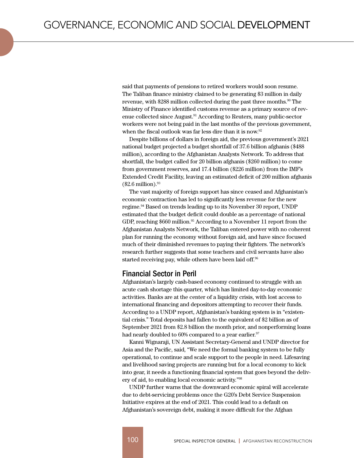said that payments of pensions to retired workers would soon resume. The Taliban finance ministry claimed to be generating \$3 million in daily revenue, with \$288 million collected during the past three months.<sup>90</sup> The Ministry of Finance identified customs revenue as a primary source of revenue collected since August.91 According to Reuters, many public-sector workers were not being paid in the last months of the previous government, when the fiscal outlook was far less dire than it is now.<sup>92</sup>

Despite billions of dollars in foreign aid, the previous government's 2021 national budget projected a budget shortfall of 37.6 billion afghanis (\$488 million), according to the Afghanistan Analysts Network. To address that shortfall, the budget called for 20 billion afghanis (\$260 million) to come from government reserves, and 17.4 billion (\$226 million) from the IMF's Extended Credit Facility, leaving an estimated deficit of 200 million afghanis  $(\$2.6$  million).<sup>93</sup>

The vast majority of foreign support has since ceased and Afghanistan's economic contraction has led to significantly less revenue for the new regime.<sup>94</sup> Based on trends leading up to its November 30 report, UNDP estimated that the budget deficit could double as a percentage of national GDP, reaching \$660 million.<sup>95</sup> According to a November 11 report from the Afghanistan Analysts Network, the Taliban entered power with no coherent plan for running the economy without foreign aid, and have since focused much of their diminished revenues to paying their fighters. The network's research further suggests that some teachers and civil servants have also started receiving pay, while others have been laid off.<sup>96</sup>

## Financial Sector in Peril

Afghanistan's largely cash-based economy continued to struggle with an acute cash shortage this quarter, which has limited day-to-day economic activities. Banks are at the center of a liquidity crisis, with lost access to international financing and depositors attempting to recover their funds. According to a UNDP report, Afghanistan's banking system is in "existential crisis." Total deposits had fallen to the equivalent of \$2 billion as of September 2021 from \$2.8 billion the month prior, and nonperforming loans had nearly doubled to  $60\%$  compared to a year earlier.<sup>97</sup>

Kanni Wignaraji, UN Assistant Secretary-General and UNDP director for Asia and the Pacific, said, "We need the formal banking system to be fully operational, to continue and scale support to the people in need. Lifesaving and livelihood saving projects are running but for a local economy to kick into gear, it needs a functioning financial system that goes beyond the delivery of aid, to enabling local economic activity."<sup>98</sup>

UNDP further warns that the downward economic spiral will accelerate due to debt-servicing problems once the G20's Debt Service Suspension Initiative expires at the end of 2021. This could lead to a default on Afghanistan's sovereign debt, making it more difficult for the Afghan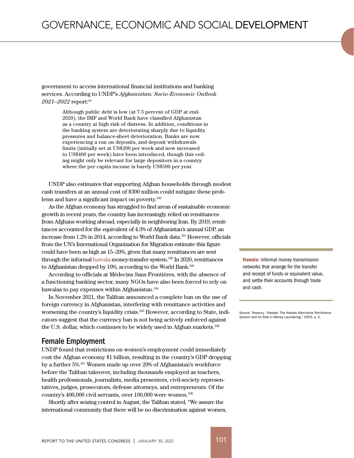government to access international financial institutions and banking services. According to UNDP's *Afghanistan: Socio-Economic Outlook 2021–2022* report:<sup>99</sup>

> Although public debt is low (at 7.5 percent of GDP at end-2020), the IMF and World Bank have classified Afghanistan as a country at high risk of distress. In addition, conditions in the banking system are deteriorating sharply due to liquidity pressures and balance-sheet deterioration. Banks are now experiencing a run on deposits, and deposit withdrawals limits (initially set at US\$200 per week and now increased to US\$400 per week) have been introduced, though this ceiling might only be relevant for large depositors in a country where the per capita income is barely US\$500 per year.

UNDP also estimates that supporting Afghan households through modest cash transfers at an annual cost of \$300 million could mitigate these problems and have a significant impact on poverty. $100$ 

As the Afghan economy has struggled to find areas of sustainable economic growth in recent years, the country has increasingly relied on remittances from Afghans working abroad, especially in neighboring Iran. By 2019, remittances accounted for the equivalent of 4.3% of Afghanistan's annual GDP, an increase from 1.2% in 2014, according to World Bank data.<sup>101</sup> However, officials from the UN's International Organization for Migration estimate this figure could have been as high as 15–20%, given that many remittances are sent through the informal hawala money-transfer system.<sup>102</sup> In 2020, remittances to Afghanistan dropped by 10%, according to the World Bank.<sup>103</sup>

According to officials at Médecins Sans Frontières, with the absence of a functioning banking sector, many NGOs have also been forced to rely on hawalas to pay expenses within Afghanistan.<sup>104</sup>

In November 2021, the Taliban announced a complete ban on the use of foreign currency in Afghanistan, interfering with remittance activities and worsening the country's liquidity crisis.105 However, according to State, indicators suggest that the currency ban is not being actively enforced against the U.S. dollar, which continues to be widely used in Afghan markets.<sup>106</sup>

#### Female Employment

UNDP found that restrictions on women's employment could immediately cost the Afghan economy \$1 billion, resulting in the country's GDP dropping by a further 5%.<sup>107</sup> Women made up over 20% of Afghanistan's workforce before the Taliban takeover, including thousands employed as teachers, health professionals, journalists, media presenters, civil-society representatives, judges, prosecutors, defense attorneys, and entrepreneurs. Of the country's 400,000 civil servants, over 100,000 were women.<sup>108</sup>

Shortly after seizing control in August, the Taliban stated, "We assure the international community that there will be no discrimination against women,

Hawala: informal money transmission networks that arrange for the transfer and receipt of funds or equivalent value, and settle their accounts through trade and cash.

Source: Treasury, "Hawala: The Hawala Alternative Remittance System and its Role in Money Laundering," 2003, p. 5.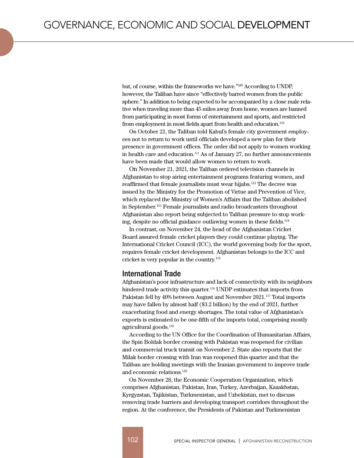but, of course, within the frameworks we have."109 According to UNDP, however, the Taliban have since "effectively barred women from the public sphere." In addition to being expected to be accompanied by a close male relative when traveling more than 45 miles away from home, women are banned from participating in most forms of entertainment and sports, and restricted from employment in most fields apart from health and education.<sup>110</sup>

On October 21, the Taliban told Kabul's female city government employees not to return to work until officials developed a new plan for their presence in government offices. The order did not apply to women working in health care and education.<sup>111</sup> As of January 27, no further announcements have been made that would allow women to return to work.

On November 21, 2021, the Taliban ordered television channels in Afghanistan to stop airing entertainment programs featuring women, and reaffirmed that female journalists must wear hijabs.112 The decree was issued by the Ministry for the Promotion of Virtue and Prevention of Vice, which replaced the Ministry of Women's Affairs that the Taliban abolished in September.113 Female journalists and radio broadcasters throughout Afghanistan also report being subjected to Taliban pressure to stop working, despite no official guidance outlawing women in these fields.114

In contrast, on November 24, the head of the Afghanistan Cricket Board assured female cricket players they could continue playing. The International Cricket Council (ICC), the world governing body for the sport, requires female cricket development. Afghanistan belongs to the ICC and cricket is very popular in the country.115

## International Trade

Afghanistan's poor infrastructure and lack of connectivity with its neighbors hindered trade activity this quarter.<sup>116</sup> UNDP estimates that imports from Pakistan fell by 40% between August and November 2021.<sup>117</sup> Total imports may have fallen by almost half (\$3.2 billion) by the end of 2021, further exacerbating food and energy shortages. The total value of Afghanistan's exports is estimated to be one-fifth of the imports total, comprising mostly agricultural goods.<sup>118</sup>

According to the UN Office for the Coordination of Humanitarian Affairs, the Spin Boldak border crossing with Pakistan was reopened for civilian and commercial truck transit on November 2. State also reports that the Milak border crossing with Iran was reopened this quarter and that the Taliban are holding meetings with the Iranian government to improve trade and economic relations.119

On November 28, the Economic Cooperation Organization, which comprises Afghanistan, Pakistan, Iran, Turkey, Azerbaijan, Kazakhstan, Kyrgyzstan, Tajikistan, Turkmenistan, and Uzbekistan, met to discuss removing trade barriers and developing transport corridors throughout the region. At the conference, the Presidents of Pakistan and Turkmenistan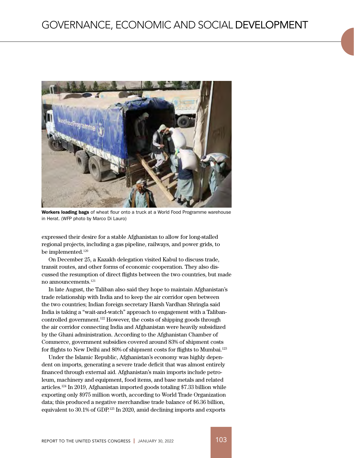

Workers loading bags of wheat flour onto a truck at a World Food Programme warehouse in Herat. (WFP photo by Marco Di Lauro)

expressed their desire for a stable Afghanistan to allow for long-stalled regional projects, including a gas pipeline, railways, and power grids, to be implemented.<sup>120</sup>

On December 25, a Kazakh delegation visited Kabul to discuss trade, transit routes, and other forms of economic cooperation. They also discussed the resumption of direct flights between the two countries, but made no announcements.<sup>121</sup>

In late August, the Taliban also said they hope to maintain Afghanistan's trade relationship with India and to keep the air corridor open between the two countries; Indian foreign secretary Harsh Vardhan Shringla said India is taking a "wait-and-watch" approach to engagement with a Talibancontrolled government.122 However, the costs of shipping goods through the air corridor connecting India and Afghanistan were heavily subsidized by the Ghani administration. According to the Afghanistan Chamber of Commerce, government subsidies covered around 83% of shipment costs for flights to New Delhi and 80% of shipment costs for flights to Mumbai.<sup>123</sup>

Under the Islamic Republic, Afghanistan's economy was highly dependent on imports, generating a severe trade deficit that was almost entirely financed through external aid. Afghanistan's main imports include petroleum, machinery and equipment, food items, and base metals and related articles.124 In 2019, Afghanistan imported goods totaling \$7.33 billion while exporting only \$975 million worth, according to World Trade Organization data; this produced a negative merchandise trade balance of \$6.36 billion, equivalent to 30.1% of GDP.125 In 2020, amid declining imports and exports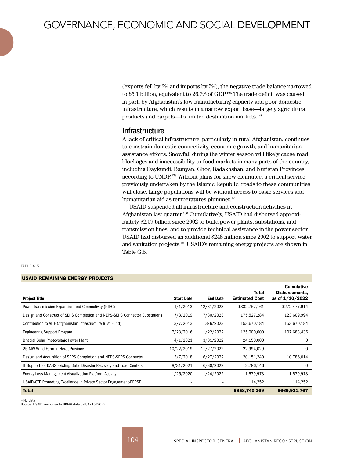(exports fell by 2% and imports by 5%), the negative trade balance narrowed to \$5.1 billion, equivalent to 26.7% of GDP.<sup>126</sup> The trade deficit was caused, in part, by Afghanistan's low manufacturing capacity and poor domestic infrastructure, which results in a narrow export base—largely agricultural products and carpets—to limited destination markets.127

### Infrastructure

A lack of critical infrastructure, particularly in rural Afghanistan, continues to constrain domestic connectivity, economic growth, and humanitarian assistance efforts. Snowfall during the winter season will likely cause road blockages and inaccessibility to food markets in many parts of the country, including Daykundi, Bamyan, Ghor, Badakhshan, and Nuristan Provinces, according to UNDP.<sup>128</sup> Without plans for snow clearance, a critical service previously undertaken by the Islamic Republic, roads to these communities will close. Large populations will be without access to basic services and humanitarian aid as temperatures plummet.<sup>129</sup>

USAID suspended all infrastructure and construction activities in Afghanistan last quarter.130 Cumulatively, USAID had disbursed approximately \$2.09 billion since 2002 to build power plants, substations, and transmission lines, and to provide technical assistance in the power sector. USAID had disbursed an additional \$248 million since 2002 to support water and sanitation projects.131 USAID's remaining energy projects are shown in Table G.5.

| TARI F |  |
|--------|--|
|--------|--|

#### USAID REMAINING ENERGY PROJECTS

| <b>Project Title</b>                                                        | <b>Start Date</b> | <b>End Date</b> | Total<br><b>Estimated Cost</b> | <b>Cumulative</b><br>Disbursements,<br>as of 1/10/2022 |
|-----------------------------------------------------------------------------|-------------------|-----------------|--------------------------------|--------------------------------------------------------|
| Power Transmission Expansion and Connectivity (PTEC)                        | 1/1/2013          | 12/31/2023      | \$332,767,161                  | \$272,477,914                                          |
| Design and Construct of SEPS Completion and NEPS-SEPS Connector Substations | 7/3/2019          | 7/30/2023       | 175,527,284                    | 123,609,994                                            |
| Contribution to AITF (Afghanistan Infrastructure Trust Fund)                | 3/7/2013          | 3/6/2023        | 153,670,184                    | 153,670,184                                            |
| <b>Engineering Support Program</b>                                          | 7/23/2016         | 1/22/2022       | 125,000,000                    | 107,683,436                                            |
| Bifacial Solar Photovoltaic Power Plant                                     | 4/1/2021          | 3/31/2022       | 24,150,000                     | 0                                                      |
| 25 MW Wind Farm in Herat Province                                           | 10/22/2019        | 11/27/2022      | 22,994,029                     | 0                                                      |
| Design and Acquisition of SEPS Completion and NEPS-SEPS Connector           | 3/7/2018          | 6/27/2022       | 20,151,240                     | 10,786,014                                             |
| IT Support for DABS Existing Data, Disaster Recovery and Load Centers       | 8/31/2021         | 6/30/2022       | 2,786,146                      | 0                                                      |
| Energy Loss Management Visualization Platform Activity                      | 1/25/2020         | 1/24/2022       | 1,579,973                      | 1,579,973                                              |
| USAID-CTP Promoting Excellence in Private Sector Engagement-PEPSE           |                   |                 | 114,252                        | 114,252                                                |
| <b>Total</b>                                                                |                   |                 | \$858,740,269                  | \$669,921,767                                          |

– No data

Source: USAID, response to SIGAR data call, 1/15/2022.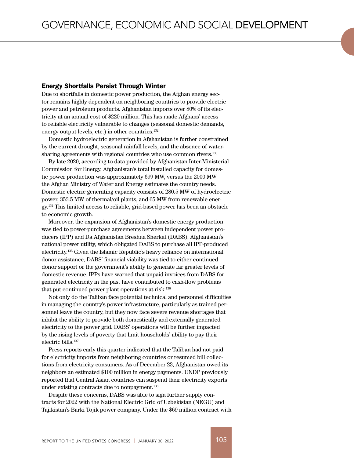#### Energy Shortfalls Persist Through Winter

Due to shortfalls in domestic power production, the Afghan energy sector remains highly dependent on neighboring countries to provide electric power and petroleum products. Afghanistan imports over 80% of its electricity at an annual cost of \$220 million. This has made Afghans' access to reliable electricity vulnerable to changes (seasonal domestic demands, energy output levels, etc.) in other countries.<sup>132</sup>

Domestic hydroelectric generation in Afghanistan is further constrained by the current drought, seasonal rainfall levels, and the absence of watersharing agreements with regional countries who use common rivers.<sup>133</sup>

By late 2020, according to data provided by Afghanistan Inter-Ministerial Commission for Energy, Afghanistan's total installed capacity for domestic power production was approximately 699 MW, versus the 2000 MW the Afghan Ministry of Water and Energy estimates the country needs. Domestic electric generating capacity consists of 280.5 MW of hydroelectric power, 353.5 MW of thermal/oil plants, and 65 MW from renewable energy.134 This limited access to reliable, grid-based power has been an obstacle to economic growth.

Moreover, the expansion of Afghanistan's domestic energy production was tied to power-purchase agreements between independent power producers (IPP) and Da Afghanistan Breshna Sherkat (DABS), Afghanistan's national power utility, which obligated DABS to purchase all IPP-produced electricity.<sup>135</sup> Given the Islamic Republic's heavy reliance on international donor assistance, DABS' financial viability was tied to either continued donor support or the government's ability to generate far greater levels of domestic revenue. IPPs have warned that unpaid invoices from DABS for generated electricity in the past have contributed to cash-flow problems that put continued power plant operations at risk.<sup>136</sup>

Not only do the Taliban face potential technical and personnel difficulties in managing the country's power infrastructure, particularly as trained personnel leave the country, but they now face severe revenue shortages that inhibit the ability to provide both domestically and externally generated electricity to the power grid. DABS' operations will be further impacted by the rising levels of poverty that limit households' ability to pay their electric bills.<sup>137</sup>

Press reports early this quarter indicated that the Taliban had not paid for electricity imports from neighboring countries or resumed bill collections from electricity consumers. As of December 23, Afghanistan owed its neighbors an estimated \$100 million in energy payments. UNDP previously reported that Central Asian countries can suspend their electricity exports under existing contracts due to nonpayment.<sup>138</sup>

Despite these concerns, DABS was able to sign further supply contracts for 2022 with the National Electric Grid of Uzbekistan (NEGU) and Tajikistan's Barki Tojik power company. Under the \$69 million contract with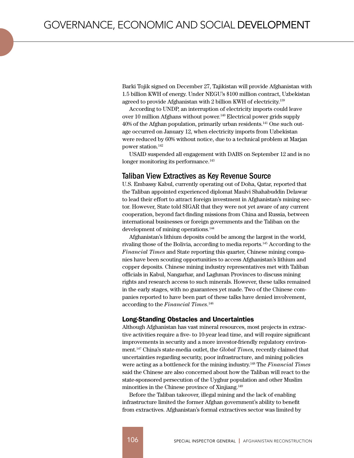Barki Tojik signed on December 27, Tajikistan will provide Afghanistan with 1.5 billion KWH of energy. Under NEGU's \$100 million contract, Uzbekistan agreed to provide Afghanistan with 2 billion KWH of electricity.<sup>139</sup>

According to UNDP, an interruption of electricity imports could leave over 10 million Afghans without power.<sup>140</sup> Electrical power grids supply 40% of the Afghan population, primarily urban residents.141 One such outage occurred on January 12, when electricity imports from Uzbekistan were reduced by 60% without notice, due to a technical problem at Marjan power station.142

USAID suspended all engagement with DABS on September 12 and is no longer monitoring its performance.<sup>143</sup>

#### Taliban View Extractives as Key Revenue Source

U.S. Embassy Kabul, currently operating out of Doha, Qatar, reported that the Taliban appointed experienced diplomat Maulvi Shahabuddin Delawar to lead their effort to attract foreign investment in Afghanistan's mining sector. However, State told SIGAR that they were not yet aware of any current cooperation, beyond fact-finding missions from China and Russia, between international businesses or foreign governments and the Taliban on the development of mining operations.<sup>144</sup>

Afghanistan's lithium deposits could be among the largest in the world, rivaling those of the Bolivia, according to media reports.<sup>145</sup> According to the *Financial Times* and State reporting this quarter, Chinese mining companies have been scouting opportunities to access Afghanistan's lithium and copper deposits. Chinese mining industry representatives met with Taliban officials in Kabul, Nangarhar, and Laghman Provinces to discuss mining rights and research access to such minerals. However, these talks remained in the early stages, with no guarantees yet made. Two of the Chinese companies reported to have been part of these talks have denied involvement, according to the *Financial Times*. 146

#### Long-Standing Obstacles and Uncertainties

Although Afghanistan has vast mineral resources, most projects in extractive activities require a five- to 10-year lead time, and will require significant improvements in security and a more investor-friendly regulatory environment.147 China's state-media outlet, the *Global Times,* recently claimed that uncertainties regarding security, poor infrastructure, and mining policies were acting as a bottleneck for the mining industry.148 The *Financial Times* said the Chinese are also concerned about how the Taliban will react to the state-sponsored persecution of the Uyghur population and other Muslim minorities in the Chinese province of Xinjiang.<sup>149</sup>

Before the Taliban takeover, illegal mining and the lack of enabling infrastructure limited the former Afghan government's ability to benefit from extractives. Afghanistan's formal extractives sector was limited by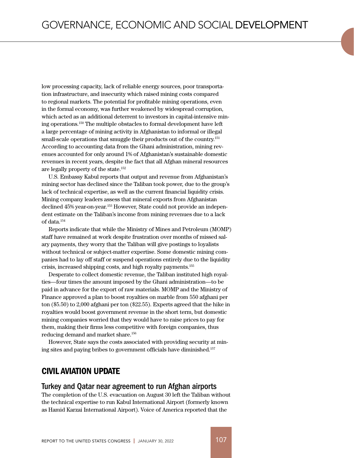low processing capacity, lack of reliable energy sources, poor transportation infrastructure, and insecurity which raised mining costs compared to regional markets. The potential for profitable mining operations, even in the formal economy, was further weakened by widespread corruption, which acted as an additional deterrent to investors in capital-intensive mining operations.150 The multiple obstacles to formal development have left a large percentage of mining activity in Afghanistan to informal or illegal small-scale operations that smuggle their products out of the country.151 According to accounting data from the Ghani administration, mining revenues accounted for only around 1% of Afghanistan's sustainable domestic revenues in recent years, despite the fact that all Afghan mineral resources are legally property of the state.152

U.S. Embassy Kabul reports that output and revenue from Afghanistan's mining sector has declined since the Taliban took power, due to the group's lack of technical expertise, as well as the current financial liquidity crisis. Mining company leaders assess that mineral exports from Afghanistan declined 45% year-on-year.153 However, State could not provide an independent estimate on the Taliban's income from mining revenues due to a lack of data.154

Reports indicate that while the Ministry of Mines and Petroleum (MOMP) staff have remained at work despite frustration over months of missed salary payments, they worry that the Taliban will give postings to loyalists without technical or subject-matter expertise. Some domestic mining companies had to lay off staff or suspend operations entirely due to the liquidity crisis, increased shipping costs, and high royalty payments.155

Desperate to collect domestic revenue, the Taliban instituted high royalties—four times the amount imposed by the Ghani administration—to be paid in advance for the export of raw materials. MOMP and the Ministry of Finance approved a plan to boost royalties on marble from 550 afghani per ton (\$5.50) to 2,000 afghani per ton (\$22.55). Experts agreed that the hike in royalties would boost government revenue in the short term, but domestic mining companies worried that they would have to raise prices to pay for them, making their firms less competitive with foreign companies, thus reducing demand and market share.156

However, State says the costs associated with providing security at mining sites and paying bribes to government officials have diminished.157

## CIVIL AVIATION UPDATE

#### Turkey and Qatar near agreement to run Afghan airports

The completion of the U.S. evacuation on August 30 left the Taliban without the technical expertise to run Kabul International Airport (formerly known as Hamid Karzai International Airport). Voice of America reported that the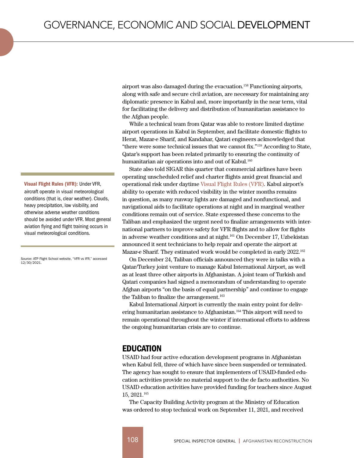airport was also damaged during the evacuation.<sup>158</sup> Functioning airports, along with safe and secure civil aviation, are necessary for maintaining any diplomatic presence in Kabul and, more importantly in the near term, vital for facilitating the delivery and distribution of humanitarian assistance to the Afghan people.

While a technical team from Qatar was able to restore limited daytime airport operations in Kabul in September, and facilitate domestic flights to Herat, Mazar-e Sharif, and Kandahar, Qatari engineers acknowledged that "there were some technical issues that we cannot fix."159 According to State, Qatar's support has been related primarily to ensuring the continuity of humanitarian air operations into and out of Kabul.<sup>160</sup>

State also told SIGAR this quarter that commercial airlines have been operating unscheduled relief and charter flights amid great financial and operational risk under daytime Visual Flight Rules (VFR). Kabul airport's ability to operate with reduced visibility in the winter months remains in question, as many runway lights are damaged and nonfunctional, and navigational aids to facilitate operations at night and in marginal weather conditions remain out of service. State expressed these concerns to the Taliban and emphasized the urgent need to finalize arrangements with international partners to improve safety for VFR flights and to allow for flights in adverse weather conditions and at night.161 On December 17, Uzbekistan announced it sent technicians to help repair and operate the airport at Mazar-e Sharif. They estimated work would be completed in early 2022.162

On December 24, Taliban officials announced they were in talks with a Qatar/Turkey joint venture to manage Kabul International Airport, as well as at least three other airports in Afghanistan. A joint team of Turkish and Qatari companies had signed a memorandum of understanding to operate Afghan airports "on the basis of equal partnership" and continue to engage the Taliban to finalize the arrangement.<sup>163</sup>

Kabul International Airport is currently the main entry point for delivering humanitarian assistance to Afghanistan.<sup>164</sup> This airport will need to remain operational throughout the winter if international efforts to address the ongoing humanitarian crisis are to continue.

## EDUCATION

USAID had four active education development programs in Afghanistan when Kabul fell, three of which have since been suspended or terminated. The agency has sought to ensure that implementers of USAID-funded education activities provide no material support to the de facto authorities. No USAID education activities have provided funding for teachers since August 15, 2021.<sup>165</sup>

The Capacity Building Activity program at the Ministry of Education was ordered to stop technical work on September 11, 2021, and received

Visual Flight Rules (VFR): Under VFR, aircraft operate in visual meteorological conditions (that is, clear weather). Clouds, heavy precipitation, low visibility, and otherwise adverse weather conditions should be avoided under VFR. Most general aviation flying and flight training occurs in visual meteorological conditions.

Source: ATP Flight School website, "VFR vs IFR," accessed 12/30/2021.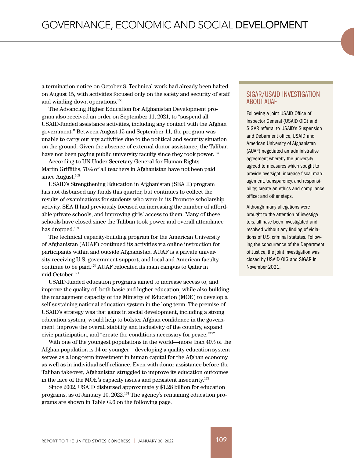a termination notice on October 8. Technical work had already been halted on August 15, with activities focused only on the safety and security of staff and winding down operations.166

The Advancing Higher Education for Afghanistan Development program also received an order on September 11, 2021, to "suspend all USAID-funded assistance activities, including any contact with the Afghan government." Between August 15 and September 11, the program was unable to carry out any activities due to the political and security situation on the ground. Given the absence of external donor assistance, the Taliban have not been paying public university faculty since they took power.<sup>167</sup>

According to UN Under Secretary General for Human Rights Martin Griffiths, 70% of all teachers in Afghanistan have not been paid since August.<sup>168</sup>

USAID's Strengthening Education in Afghanistan (SEA II) program has not disbursed any funds this quarter, but continues to collect the results of examinations for students who were in its Promote scholarship activity. SEA II had previously focused on increasing the number of affordable private schools, and improving girls' access to them. Many of these schools have closed since the Taliban took power and overall attendance has dropped.<sup>169</sup>

The technical capacity-building program for the American University of Afghanistan (AUAF) continued its activities via online instruction for participants within and outside Afghanistan. AUAF is a private university receiving U.S. government support, and local and American faculty continue to be paid.170 AUAF relocated its main campus to Qatar in mid-October.171

USAID-funded education programs aimed to increase access to, and improve the quality of, both basic and higher education, while also building the management capacity of the Ministry of Education (MOE) to develop a self-sustaining national education system in the long term. The premise of USAID's strategy was that gains in social development, including a strong education system, would help to bolster Afghan confidence in the government, improve the overall stability and inclusivity of the country, expand civic participation, and "create the conditions necessary for peace."172

With one of the youngest populations in the world—more than 40% of the Afghan population is 14 or younger—developing a quality education system serves as a long-term investment in human capital for the Afghan economy as well as in individual self-reliance. Even with donor assistance before the Taliban takeover, Afghanistan struggled to improve its education outcomes in the face of the MOE's capacity issues and persistent insecurity.173

Since 2002, USAID disbursed approximately \$1.28 billion for education programs, as of January 10, 2022.174 The agency's remaining education programs are shown in Table G.6 on the following page.

#### SIGAR/USAID INVESTIGATION ABOUT AUAF

Following a joint USAID Office of Inspector General (USAID OIG) and SIGAR referral to USAID's Suspension and Debarment office, USAID and American University of Afghanistan (AUAF) negotiated an administrative agreement whereby the university agreed to measures which sought to provide oversight; increase fiscal management, transparency, and responsibility; create an ethics and compliance office; and other steps.

Although many allegations were brought to the attention of investigators, all have been investigated and resolved without any finding of violations of U.S. criminal statutes. Following the concurrence of the Department of Justice, the joint investigation was closed by USAID OIG and SIGAR in November 2021.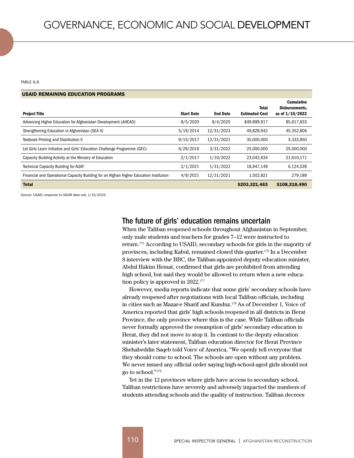TABLE G.6

| <b>USAID REMAINING EDUCATION PROGRAMS</b>                                              |                   |                 |                                |                                                        |
|----------------------------------------------------------------------------------------|-------------------|-----------------|--------------------------------|--------------------------------------------------------|
| <b>Project Title</b>                                                                   | <b>Start Date</b> | <b>End Date</b> | Total<br><b>Estimated Cost</b> | <b>Cumulative</b><br>Disbursements.<br>as of 1/10/2022 |
| Advancing Higher Education for Afghanistan Development (AHEAD)                         | 8/5/2020          | 8/4/2025        | \$49,999,917                   | \$5,617,833                                            |
| Strengthening Education in Afghanistan (SEA II)                                        | 5/19/2014         | 12/31/2023      | 49,828,942                     | 45,352,806                                             |
| Textbook Printing and Distribution II                                                  | 9/15/2017         | 12/31/2021      | 35,000,000                     | 4,333,950                                              |
| Let Girls Learn Initiative and Girls' Education Challenge Programme (GEC)              | 6/29/2016         | 3/31/2022       | 25,000,000                     | 25,000,000                                             |
| Capacity Building Activity at the Ministry of Education                                | 2/1/2017          | 1/10/2022       | 23,042,634                     | 21,610,171                                             |
| <b>Technical Capacity Building for AUAF</b>                                            | 2/1/2021          | 1/31/2022       | 18,947,149                     | 6,124,539                                              |
| Financial and Operational Capacity Building for an Afghan Higher Education Institution | 4/9/2021          | 12/31/2021      | 1,502,821                      | 279,189                                                |
| <b>Total</b>                                                                           |                   |                 | \$203,321,463                  | \$108,318,490                                          |

Source: USAID, response to SIGAR data call, 1/15/2022.

#### The future of girls' education remains uncertain

When the Taliban reopened schools throughout Afghanistan in September, only male students and teachers for grades 7–12 were instructed to return.<sup>175</sup> According to USAID, secondary schools for girls in the majority of provinces, including Kabul, remained closed this quarter.<sup>176</sup> In a December 8 interview with the BBC, the Taliban-appointed deputy education minister, Abdul Hakim Hemat, confirmed that girls are prohibited from attending high school, but said they would be allowed to return when a new education policy is approved in 2022.<sup>177</sup>

However, media reports indicate that some girls' secondary schools have already reopened after negotiations with local Taliban officials, including in cities such as Mazar-e Sharif and Kunduz.178 As of December 1, Voice of America reported that girls' high schools reopened in all districts in Herat Province, the only province where this is the case. While Taliban officials never formally approved the resumption of girls' secondary education in Herat, they did not move to stop it. In contrast to the deputy education minister's later statement, Taliban education director for Herat Province Shehabeddin Saqeb told Voice of America, "We openly tell everyone that they should come to school. The schools are open without any problem. We never issued any official order saying high-school-aged girls should not go to school."<sup>179</sup>

Yet in the 12 provinces where girls have access to secondary school, Taliban restrictions have severely and adversely impacted the numbers of students attending schools and the quality of instruction. Taliban decrees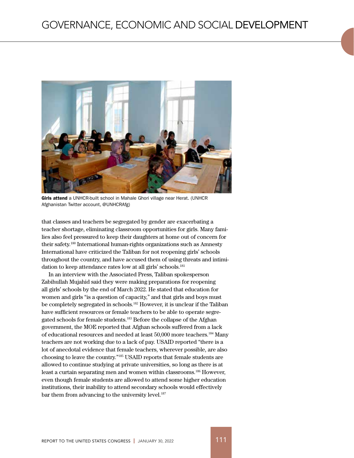

Girls attend a UNHCR-built school in Mahale Ghori village near Herat. (UNHCR Afghanistan Twitter account, @UNHCRAfg)

that classes and teachers be segregated by gender are exacerbating a teacher shortage, eliminating classroom opportunities for girls. Many families also feel pressured to keep their daughters at home out of concern for their safety.180 International human-rights organizations such as Amnesty International have criticized the Taliban for not reopening girls' schools throughout the country, and have accused them of using threats and intimidation to keep attendance rates low at all girls' schools.<sup>181</sup>

In an interview with the Associated Press, Taliban spokesperson Zabihullah Mujahid said they were making preparations for reopening all girls' schools by the end of March 2022. He stated that education for women and girls "is a question of capacity," and that girls and boys must be completely segregated in schools.<sup>182</sup> However, it is unclear if the Taliban have sufficient resources or female teachers to be able to operate segregated schools for female students.<sup>183</sup> Before the collapse of the Afghan government, the MOE reported that Afghan schools suffered from a lack of educational resources and needed at least 50,000 more teachers.<sup>184</sup> Many teachers are not working due to a lack of pay. USAID reported "there is a lot of anecdotal evidence that female teachers, wherever possible, are also choosing to leave the country."185 USAID reports that female students are allowed to continue studying at private universities, so long as there is at least a curtain separating men and women within classrooms.<sup>186</sup> However, even though female students are allowed to attend some higher education institutions, their inability to attend secondary schools would effectively bar them from advancing to the university level.<sup>187</sup>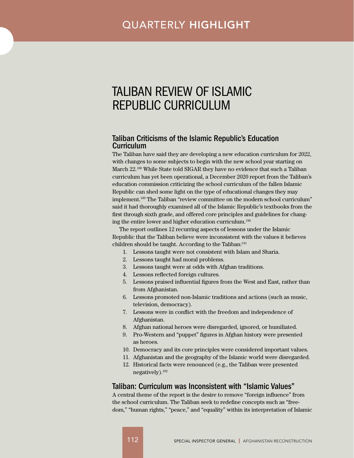# <span id="page-26-0"></span>TALIBAN REVIEW OF ISLAMIC REPUBLIC CURRICULUM

## Taliban Criticisms of the Islamic Republic's Education Curriculum

The Taliban have said they are developing a new education curriculum for 2022, with changes to some subjects to begin with the new school year starting on March 22.<sup>188</sup> While State told SIGAR they have no evidence that such a Taliban curriculum has yet been operational, a December 2020 report from the Taliban's education commission criticizing the school curriculum of the fallen Islamic Republic can shed some light on the type of educational changes they may implement.<sup>189</sup> The Taliban "review committee on the modern school curriculum" said it had thoroughly examined all of the Islamic Republic's textbooks from the first through sixth grade, and offered core principles and guidelines for changing the entire lower and higher education curriculum.<sup>190</sup>

The report outlines 12 recurring aspects of lessons under the Islamic Republic that the Taliban believe were inconsistent with the values it believes children should be taught. According to the Taliban:<sup>191</sup>

- 1. Lessons taught were not consistent with Islam and Sharia.
- 2. Lessons taught had moral problems.
- 3. Lessons taught were at odds with Afghan traditions.
- 4. Lessons reflected foreign cultures.
- 5. Lessons praised influential figures from the West and East, rather than from Afghanistan.
- 6. Lessons promoted non-Islamic traditions and actions (such as music, television, democracy).
- 7. Lessons were in conflict with the freedom and independence of Afghanistan.
- 8. Afghan national heroes were disregarded, ignored, or humiliated.
- 9. Pro-Western and "puppet" figures in Afghan history were presented as heroes.
- 10. Democracy and its core principles were considered important values.
- 11. Afghanistan and the geography of the Islamic world were disregarded.
- 12. Historical facts were renounced (e.g., the Taliban were presented negatively).192

#### Taliban: Curriculum was Inconsistent with "Islamic Values"

A central theme of the report is the desire to remove "foreign influence" from the school curriculum. The Taliban seek to redefine concepts such as "freedom," "human rights," "peace," and "equality" within its interpretation of Islamic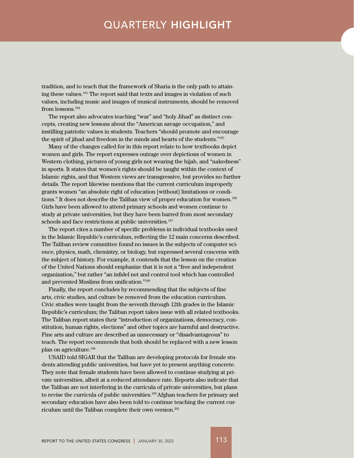# QUARTERLY HIGHLIGHT

tradition, and to teach that the framework of Sharia is the only path to attaining these values.<sup>193</sup> The report said that texts and images in violation of such values, including music and images of musical instruments, should be removed from lessons.<sup>194</sup>

The report also advocates teaching "war" and "holy Jihad" as distinct concepts, creating new lessons about the "American savage occupation," and instilling patriotic values in students. Teachers "should promote and encourage the spirit of jihad and freedom in the minds and hearts of the students."<sup>195</sup>

Many of the changes called for in this report relate to how textbooks depict women and girls. The report expresses outrage over depictions of women in Western clothing, pictures of young girls not wearing the hijab, and "nakedness" in sports. It states that women's rights should be taught within the context of Islamic rights, and that Western views are transgressive, but provides no further details. The report likewise mentions that the current curriculum improperly grants women "an absolute right of education [without] limitations or conditions." It does not describe the Taliban view of proper education for women.<sup>196</sup> Girls have been allowed to attend primary schools and women continue to study at private universities, but they have been barred from most secondary schools and face restrictions at public universities.<sup>197</sup>

The report cites a number of specific problems in individual textbooks used in the Islamic Republic's curriculum, reflecting the 12 main concerns described. The Taliban review committee found no issues in the subjects of computer science, physics, math, chemistry, or biology, but expressed several concerns with the subject of history. For example, it contends that the lesson on the creation of the United Nations should emphasize that it is not a "free and independent organization," but rather "an infidel net and control tool which has controlled and prevented Muslims from unification."198

Finally, the report concludes by recommending that the subjects of fine arts, civic studies, and culture be removed from the education curriculum. Civic studies were taught from the seventh through 12th grades in the Islamic Republic's curriculum; the Taliban report takes issue with all related textbooks. The Taliban report states their "introduction of organizations, democracy, constitution, human rights, elections" and other topics are harmful and destructive. Fine arts and culture are described as unnecessary or "disadvantageous" to teach. The report recommends that both should be replaced with a new lesson plan on agriculture.<sup>199</sup>

USAID told SIGAR that the Taliban are developing protocols for female students attending public universities, but have yet to present anything concrete. They note that female students have been allowed to continue studying at private universities, albeit at a reduced attendance rate. Reports also indicate that the Taliban are not interfering in the curricula of private universities, but plans to revise the curricula of public universities.<sup>200</sup> Afghan teachers for primary and secondary education have also been told to continue teaching the current curriculum until the Taliban complete their own version.201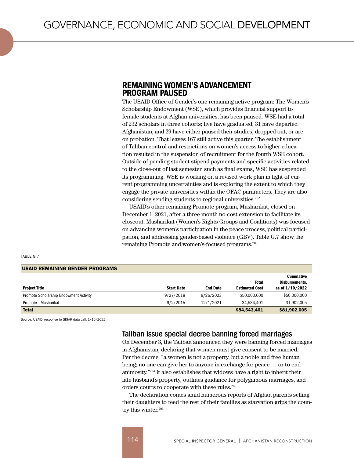## REMAINING WOMEN'S ADVANCEMENT PROGRAM PAUSED

The USAID Office of Gender's one remaining active program: The Women's Scholarship Endowment (WSE), which provides financial support to female students at Afghan universities, has been paused. WSE had a total of 232 scholars in three cohorts; five have graduated, 31 have departed Afghanistan, and 29 have either paused their studies, dropped out, or are on probation. That leaves 167 still active this quarter. The establishment of Taliban control and restrictions on women's access to higher education resulted in the suspension of recruitment for the fourth WSE cohort. Outside of pending student stipend payments and specific activities related to the close-out of last semester, such as final exams, WSE has suspended its programming. WSE is working on a revised work plan in light of current programming uncertainties and is exploring the extent to which they engage the private universities within the OFAC parameters. They are also considering sending students to regional universities.<sup>202</sup>

USAID's other remaining Promote program, Musharikat, closed on December 1, 2021, after a three-month no-cost extension to facilitate its closeout. Musharikat (Women's Rights Groups and Coalitions) was focused on advancing women's participation in the peace process, political participation, and addressing gender-based violence (GBV). Table G.7 show the remaining Promote and women's-focused programs.203

TABLE G.7

#### USAID REMAINING GENDER PROGRAMS

|                                        |                   |                 | Total                 | <b>Cumulative</b><br>Disbursements, |
|----------------------------------------|-------------------|-----------------|-----------------------|-------------------------------------|
| <b>Project Title</b>                   | <b>Start Date</b> | <b>End Date</b> | <b>Estimated Cost</b> | as of 1/10/2022                     |
| Promote Scholarship Endowment Activity | 9/27/2018         | 9/26/2023       | \$50,000,000          | \$50,000,000                        |
| Promote - Musharikat                   | 9/2/2015          | 12/1/2021       | 34.534.401            | 31,902,005                          |
| <b>Total</b>                           |                   |                 | \$84,543,401          | \$81,902,005                        |

Source: USAID, response to SIGAR data call, 1/15/2022.

## Taliban issue special decree banning forced marriages

On December 3, the Taliban announced they were banning forced marriages in Afghanistan, declaring that women must give consent to be married. Per the decree, "a women is not a property, but a noble and free human being; no one can give her to anyone in exchange for peace … or to end animosity."<sup>204</sup> It also establishes that widows have a right to inherit their late husband's property, outlines guidance for polygamous marriages, and orders courts to cooperate with these rules.<sup>205</sup>

The declaration comes amid numerous reports of Afghan parents selling their daughters to feed the rest of their families as starvation grips the country this winter.<sup>206</sup>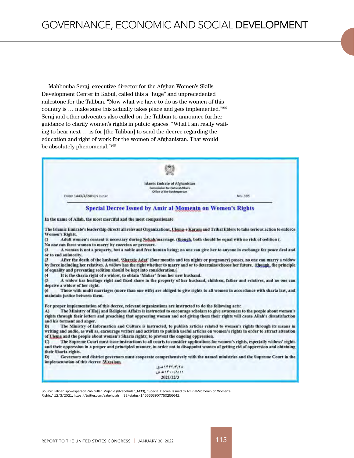Mahbouba Seraj, executive director for the Afghan Women's Skills Development Center in Kabul, called this a "huge" and unprecedented milestone for the Taliban. "Now what we have to do as the women of this country is … make sure this actually takes place and gets implemented."207 Seraj and other advocates also called on the Taliban to announce further guidance to clarify women's rights in public spaces. "What I am really waiting to hear next … is for [the Taliban] to send the decree regarding the education and right of work for the women of Afghanistan. That would be absolutely phenomenal."208

|                                                                                            | Islamic Emirate of Afghanistan<br>Commission for Cultural Affairs<br>Office of the Spokesperson                     |                                                                                                                                                                                                                                                                        |
|--------------------------------------------------------------------------------------------|---------------------------------------------------------------------------------------------------------------------|------------------------------------------------------------------------------------------------------------------------------------------------------------------------------------------------------------------------------------------------------------------------|
| Date: 1443/4/28Hijri Lunar                                                                 |                                                                                                                     | No. 395                                                                                                                                                                                                                                                                |
|                                                                                            | <b>Special Decree Issued by Amir al-Momenin on Women's Rights</b>                                                   |                                                                                                                                                                                                                                                                        |
| In the name of Allah, the most merciful and the most compassionate                         |                                                                                                                     |                                                                                                                                                                                                                                                                        |
| Women's Rights.                                                                            |                                                                                                                     | The Islamic Emirate's leadership directs all relevant Organizations, Ulema-e Karam and Tribal Elders to take serious action to enforce                                                                                                                                 |
| $\mathfrak{a}$<br>No one can force women to marry by coercion or pressure.                 | Adult women's consent is necessary during Nekah/murriage. (though, both should be equal with no risk of sedition (. |                                                                                                                                                                                                                                                                        |
| e<br>or to end animosity.                                                                  |                                                                                                                     | A woman is not a property, but a noble and free human being; no one can give her to anyone in exchange for peace deal and                                                                                                                                              |
| $^{(3)}$<br>of equality and preventing sedition should be kept into consideration.(<br>(4) | It is the sharia right of a widow, to obtain 'Mahar' from her new husband.                                          | After the death of the husband, 'Sharaie Adat' (four months and ten nights or pregnancy) passes, no one can marry a widow<br>by force including her relatives. A widow has the right whether to marry and or to determine/choose her future. (though, the principle    |
| (5)<br>deprive a widow of her right.                                                       |                                                                                                                     | A widow has beritage right and fixed share in the property of her husband, children, father and relatives, and no one can                                                                                                                                              |
| 16<br>maintain justice between them.                                                       |                                                                                                                     | Those with multi marriages (more than one wife) are obliged to give rights to all women in accordance with sharia law, and                                                                                                                                             |
|                                                                                            | For proper implementation of this decree, relevant organizations are instructed to do the following acts:           |                                                                                                                                                                                                                                                                        |
| A)<br>and his torment and anger.                                                           |                                                                                                                     | The Ministry of Hajj and Religious Affairs is instructed to encourage scholars to give awareness to the people about women's<br>rights through their letters and preaching that oppressing women and not giving them their rights will cause Allah's dissatisfaction   |
| B)                                                                                         | of Ulema and the people about women's Sharia rights; to prevent the ongoing oppression.                             | The Ministry of Information and Culture is instructed, to publish articles related to women's rights through its means in<br>writing and audio, as well as, encourage writers and activists to publish useful articles on women's rights in order to attract attention |
| $\mathbf{C}$<br>their Sharia rights.                                                       |                                                                                                                     | The Supreme Court must issue instructions to all courts to consider applications for women's rights, especially widows' rights<br>and their oppression in a proper and principled manner, in order not to disappoint women of getting rid of oppression and obtaining  |
| D)<br>implementation of this decree Wasalam.                                               |                                                                                                                     | Governors and district governors must cooperate comprehensively with the named ministries and the Supreme Court in the                                                                                                                                                 |
|                                                                                            | エムリックアパイス                                                                                                           |                                                                                                                                                                                                                                                                        |
|                                                                                            | LEWITHIAIT<br>2021/12/3                                                                                             |                                                                                                                                                                                                                                                                        |

Rights," 12/3/2021, [https://twitter.com/zabehulah\\_m33/status/1466663907750256642](https://twitter.com/zabehulah_m33/status/1466663907750256642).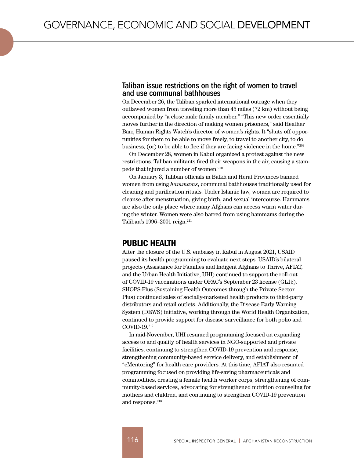## Taliban issue restrictions on the right of women to travel and use communal bathhouses

On December 26, the Taliban sparked international outrage when they outlawed women from traveling more than 45 miles (72 km) without being accompanied by "a close male family member." "This new order essentially moves further in the direction of making women prisoners," said Heather Barr, Human Rights Watch's director of women's rights. It "shuts off opportunities for them to be able to move freely, to travel to another city, to do business, (or) to be able to flee if they are facing violence in the home."<sup>209</sup>

On December 28, women in Kabul organized a protest against the new restrictions. Taliban militants fired their weapons in the air, causing a stampede that injured a number of women.<sup>210</sup>

On January 3, Taliban officials in Balkh and Herat Provinces banned women from using *hammams*, communal bathhouses traditionally used for cleaning and purification rituals. Under Islamic law, women are required to cleanse after menstruation, giving birth, and sexual intercourse. Hammams are also the only place where many Afghans can access warm water during the winter. Women were also barred from using hammams during the Taliban's 1996–2001 reign.211

## PUBLIC HEALTH

After the closure of the U.S. embassy in Kabul in August 2021, USAID paused its health programming to evaluate next steps. USAID's bilateral projects (Assistance for Families and Indigent Afghans to Thrive, AFIAT, and the Urban Health Initiative, UHI) continued to support the roll-out of COVID-19 vaccinations under OFAC's September 23 license (GL15). SHOPS-Plus (Sustaining Health Outcomes through the Private Sector Plus) continued sales of socially-marketed health products to third-party distributors and retail outlets. Additionally, the Disease Early Warning System (DEWS) initiative, working through the World Health Organization, continued to provide support for disease surveillance for both polio and COVID-19.<sup>212</sup>

In mid-November, UHI resumed programming focused on expanding access to and quality of health services in NGO-supported and private facilities, continuing to strengthen COVID-19 prevention and response, strengthening community-based service delivery, and establishment of "eMentoring" for health care providers. At this time, AFIAT also resumed programming focused on providing life-saving pharmaceuticals and commodities, creating a female health worker corps, strengthening of community-based services, advocating for strengthened nutrition counseling for mothers and children, and continuing to strengthen COVID-19 prevention and response.<sup>213</sup>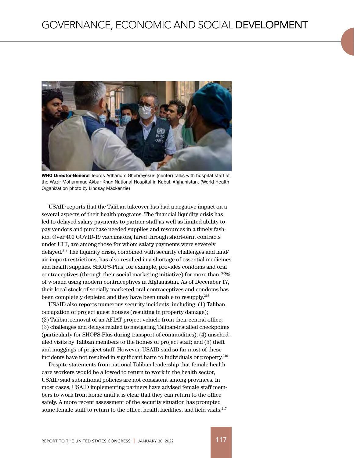

WHO Director-General Tedros Adhanom Ghebreyesus (center) talks with hospital staff at the Wazir Mohammad Akbar Khan National Hospital in Kabul, Afghanistan. (World Health Organization photo by Lindsay Mackenzie)

USAID reports that the Taliban takeover has had a negative impact on a several aspects of their health programs. The financial liquidity crisis has led to delayed salary payments to partner staff as well as limited ability to pay vendors and purchase needed supplies and resources in a timely fashion. Over 400 COVID-19 vaccinators, hired through short-term contracts under UHI, are among those for whom salary payments were severely delayed.214 The liquidity crisis, combined with security challenges and land/ air import restrictions, has also resulted in a shortage of essential medicines and health supplies. SHOPS-Plus, for example, provides condoms and oral contraceptives (through their social marketing initiative) for more than 22% of women using modern contraceptives in Afghanistan. As of December 17, their local stock of socially marketed oral contraceptives and condoms has been completely depleted and they have been unable to resupply.215

USAID also reports numerous security incidents, including: (1) Taliban occupation of project guest houses (resulting in property damage); (2) Taliban removal of an AFIAT project vehicle from their central office; (3) challenges and delays related to navigating Taliban-installed checkpoints (particularly for SHOPS-Plus during transport of commodities); (4) unscheduled visits by Taliban members to the homes of project staff; and (5) theft and muggings of project staff. However, USAID said so far most of these incidents have not resulted in significant harm to individuals or property.216

Despite statements from national Taliban leadership that female healthcare workers would be allowed to return to work in the health sector, USAID said subnational policies are not consistent among provinces. In most cases, USAID implementing partners have advised female staff members to work from home until it is clear that they can return to the office safely. A more recent assessment of the security situation has prompted some female staff to return to the office, health facilities, and field visits.<sup>217</sup>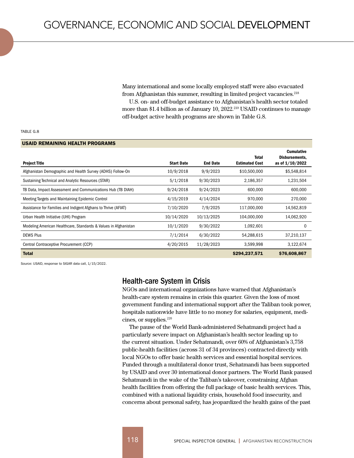Many international and some locally employed staff were also evacuated from Afghanistan this summer, resulting in limited project vacancies.<sup>218</sup>

U.S. on- and off-budget assistance to Afghanistan's health sector totaled more than \$1.4 billion as of January 10,  $2022.^{219}$  USAID continues to manage off-budget active health programs are shown in Table G.8.

#### TABLE G.8

#### USAID REMAINING HEALTH PROGRAMS

| <b>Project Title</b>                                            | <b>Start Date</b> | <b>End Date</b> | <b>Total</b><br><b>Estimated Cost</b> | <b>Cumulative</b><br>Disbursements.<br>as of $1/10/2022$ |
|-----------------------------------------------------------------|-------------------|-----------------|---------------------------------------|----------------------------------------------------------|
| Afghanistan Demographic and Health Survey (ADHS) Follow-On      | 10/9/2018         | 9/9/2023        | \$10,500,000                          | \$5,548,814                                              |
| Sustaining Technical and Analytic Resources (STAR)              | 5/1/2018          | 9/30/2023       | 2,186,357                             | 1,231,504                                                |
| TB Data, Impact Assessment and Communications Hub (TB DIAH)     | 9/24/2018         | 9/24/2023       | 600,000                               | 600,000                                                  |
| Meeting Targets and Maintaining Epidemic Control                | 4/15/2019         | 4/14/2024       | 970,000                               | 270,000                                                  |
| Assistance for Families and Indigent Afghans to Thrive (AFIAT)  | 7/10/2020         | 7/9/2025        | 117.000.000                           | 14,562,819                                               |
| Urban Health Initiative (UHI) Program                           | 10/14/2020        | 10/13/2025      | 104.000.000                           | 14,062,920                                               |
| Modeling American Healthcare, Standards & Values in Afghanistan | 10/1/2020         | 9/30/2022       | 1,092,601                             | 0                                                        |
| <b>DEWS Plus</b>                                                | 7/1/2014          | 6/30/2022       | 54,288,615                            | 37,210,137                                               |
| Central Contraceptive Procurement (CCP)                         | 4/20/2015         | 11/28/2023      | 3,599,998                             | 3,122,674                                                |
| <b>Total</b>                                                    |                   |                 | \$294,237,571                         | \$76,608,867                                             |

Source: USAID, response to SIGAR data call, 1/15/2022.

#### Health-care System in Crisis

NGOs and international organizations have warned that Afghanistan's health-care system remains in crisis this quarter. Given the loss of most government funding and international support after the Taliban took power, hospitals nationwide have little to no money for salaries, equipment, medicines, or supplies.<sup>220</sup>

The pause of the World Bank-administered Sehatmandi project had a particularly severe impact on Afghanistan's health sector leading up to the current situation. Under Sehatmandi, over 60% of Afghanistan's 3,758 public-health facilities (across 31 of 34 provinces) contracted directly with local NGOs to offer basic health services and essential hospital services. Funded through a multilateral donor trust, Sehatmandi has been supported by USAID and over 30 international donor partners. The World Bank paused Sehatmandi in the wake of the Taliban's takeover, constraining Afghan health facilities from offering the full package of basic health services. This, combined with a national liquidity crisis, household food insecurity, and concerns about personal safety, has jeopardized the health gains of the past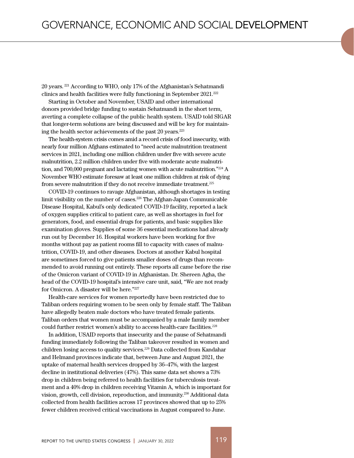20 years. 221 According to WHO, only 17% of the Afghanistan's Sehatmandi clinics and health facilities were fully functioning in September 2021.222

Starting in October and November, USAID and other international donors provided bridge funding to sustain Sehatmandi in the short term, averting a complete collapse of the public health system. USAID told SIGAR that longer-term solutions are being discussed and will be key for maintaining the health sector achievements of the past 20 years.223

The health-system crisis comes amid a record crisis of food insecurity, with nearly four million Afghans estimated to "need acute malnutrition treatment services in 2021, including one million children under five with severe acute malnutrition, 2.2 million children under five with moderate acute malnutrition, and 700,000 pregnant and lactating women with acute malnutrition."<sup>224</sup> A November WHO estimate foresaw at least one million children at risk of dying from severe malnutrition if they do not receive immediate treatment.<sup>225</sup>

COVID-19 continues to ravage Afghanistan, although shortages in testing limit visibility on the number of cases.<sup>226</sup> The Afghan-Japan Communicable Disease Hospital, Kabul's only dedicated COVID-19 facility, reported a lack of oxygen supplies critical to patient care, as well as shortages in fuel for generators, food, and essential drugs for patients, and basic supplies like examination gloves. Supplies of some 36 essential medications had already run out by December 16. Hospital workers have been working for five months without pay as patient rooms fill to capacity with cases of malnutrition, COVID-19, and other diseases. Doctors at another Kabul hospital are sometimes forced to give patients smaller doses of drugs than recommended to avoid running out entirely. These reports all came before the rise of the Omicron variant of COVID-19 in Afghanistan. Dr. Shereen Agha, the head of the COVID-19 hospital's intensive care unit, said, "We are not ready for Omicron. A disaster will be here."227

Health-care services for women reportedly have been restricted due to Taliban orders requiring women to be seen only by female staff. The Taliban have allegedly beaten male doctors who have treated female patients. Taliban orders that women must be accompanied by a male family member could further restrict women's ability to access health-care facilities.<sup>228</sup>

In addition, USAID reports that insecurity and the pause of Sehatmandi funding immediately following the Taliban takeover resulted in women and children losing access to quality services.<sup>229</sup> Data collected from Kandahar and Helmand provinces indicate that, between June and August 2021, the uptake of maternal health services dropped by 36–47%, with the largest decline in institutional deliveries (47%). This same data set shows a 73% drop in children being referred to health facilities for tuberculosis treatment and a 40% drop in children receiving Vitamin A, which is important for vision, growth, cell division, reproduction, and immunity.230 Additional data collected from health facilities across 17 provinces showed that up to 25% fewer children received critical vaccinations in August compared to June.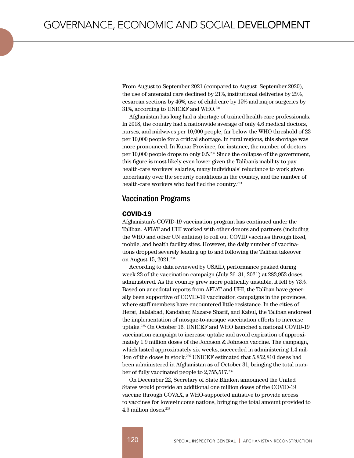From August to September 2021 (compared to August–September 2020), the use of antenatal care declined by 21%, institutional deliveries by 29%, cesarean sections by 46%, use of child care by 15% and major surgeries by 31%, according to UNICEF and WHO.<sup>231</sup>

Afghanistan has long had a shortage of trained health-care professionals. In 2018, the country had a nationwide average of only 4.6 medical doctors, nurses, and midwives per 10,000 people, far below the WHO threshold of 23 per 10,000 people for a critical shortage. In rural regions, this shortage was more pronounced. In Kunar Province, for instance, the number of doctors per 10,000 people drops to only 0.5.232 Since the collapse of the government, this figure is most likely even lower given the Taliban's inability to pay health-care workers' salaries, many individuals' reluctance to work given uncertainty over the security conditions in the country, and the number of health-care workers who had fled the country.<sup>233</sup>

### Vaccination Programs

#### COVID-19

Afghanistan's COVID-19 vaccination program has continued under the Taliban. AFIAT and UHI worked with other donors and partners (including the WHO and other UN entities) to roll out COVID vaccines through fixed, mobile, and health facility sites. However, the daily number of vaccinations dropped severely leading up to and following the Taliban takeover on August 15, 2021.<sup>234</sup>

According to data reviewed by USAID, performance peaked during week 23 of the vaccination campaign (July 26–31, 2021) at 283,953 doses administered. As the country grew more politically unstable, it fell by 73%. Based on anecdotal reports from AFIAT and UHI, the Taliban have generally been supportive of COVID-19 vaccination campaigns in the provinces, where staff members have encountered little resistance. In the cities of Herat, Jalalabad, Kandahar, Mazar-e Sharif, and Kabul, the Taliban endorsed the implementation of mosque-to-mosque vaccination efforts to increase uptake.<sup>235</sup> On October 16, UNICEF and WHO launched a national COVID-19 vaccination campaign to increase uptake and avoid expiration of approximately 1.9 million doses of the Johnson & Johnson vaccine. The campaign, which lasted approximately six weeks, succeeded in administering 1.4 million of the doses in stock.236 UNICEF estimated that 5,852,810 doses had been administered in Afghanistan as of October 31, bringing the total number of fully vaccinated people to 2,755,517.<sup>237</sup>

On December 22, Secretary of State Blinken announced the United States would provide an additional one million doses of the COVID-19 vaccine through COVAX, a WHO-supported initiative to provide access to vaccines for lower-income nations, bringing the total amount provided to 4.3 million doses.238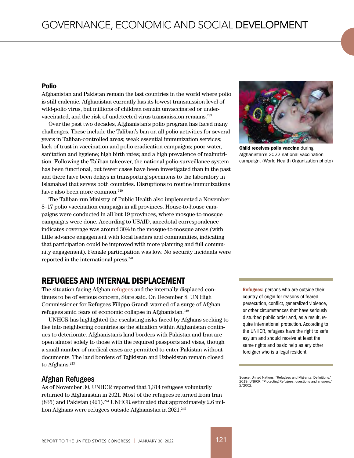#### Polio

Afghanistan and Pakistan remain the last countries in the world where polio is still endemic. Afghanistan currently has its lowest transmission level of wild-polio virus, but millions of children remain unvaccinated or undervaccinated, and the risk of undetected virus transmission remains.<sup>239</sup>

Over the past two decades, Afghanistan's polio program has faced many challenges. These include the Taliban's ban on all polio activities for several years in Taliban-controlled areas; weak essential immunization services; lack of trust in vaccination and polio eradication campaigns; poor water, sanitation and hygiene; high birth rates; and a high prevalence of malnutrition. Following the Taliban takeover, the national polio-surveillance system has been functional, but fewer cases have been investigated than in the past and there have been delays in transporting specimens to the laboratory in Islamabad that serves both countries. Disruptions to routine immunizations have also been more common.<sup>240</sup>

The Taliban-run Ministry of Public Health also implemented a November 8–17 polio vaccination campaign in all provinces. House-to-house campaigns were conducted in all but 19 provinces, where mosque-to-mosque campaigns were done. According to USAID, anecdotal correspondence indicates coverage was around 30% in the mosque-to-mosque areas (with little advance engagement with local leaders and communities, indicating that participation could be improved with more planning and full community engagement). Female participation was low. No security incidents were reported in the international press.<sup>241</sup>

# REFUGEES AND INTERNAL DISPLACEMENT

The situation facing Afghan refugees and the internally displaced continues to be of serious concern, State said. On December 8, UN High Commissioner for Refugees Filippo Grandi warned of a surge of Afghan refugees amid fears of economic collapse in Afghanistan.242

UNHCR has highlighted the escalating risks faced by Afghans seeking to flee into neighboring countries as the situation within Afghanistan continues to deteriorate. Afghanistan's land borders with Pakistan and Iran are open almost solely to those with the required passports and visas, though a small number of medical cases are permitted to enter Pakistan without documents. The land borders of Tajikistan and Uzbekistan remain closed to Afghans.<sup>243</sup>

## Afghan Refugees

As of November 30, UNHCR reported that 1,314 refugees voluntarily returned to Afghanistan in 2021. Most of the refugees returned from Iran  $(835)$  and Pakistan  $(421)$ .<sup>244</sup> UNHCR estimated that approximately 2.6 million Afghans were refugees outside Afghanistan in 2021.<sup>245</sup>



**Child receives polio vaccine during** Afghanistan's 2022 national vaccination campaign. (World Health Organization photo)

Refugees: persons who are outside their country of origin for reasons of feared persecution, conflict, generalized violence, or other circumstances that have seriously disturbed public order and, as a result, require international protection. According to the UNHCR, refugees have the right to safe asylum and should receive at least the same rights and basic help as any other foreigner who is a legal resident.

Source: United Nations, "Refugees and Migrants: Definitions," 2019; UNHCR, "Protecting Refugees: questions and answers, 2/2002.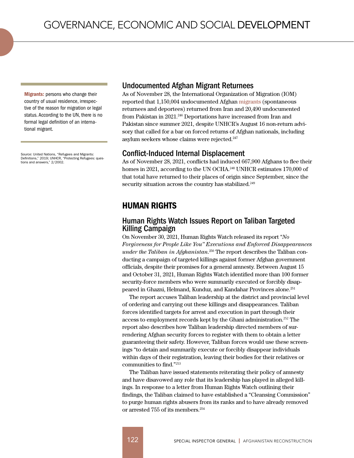Migrants: persons who change their country of usual residence, irrespective of the reason for migration or legal status. According to the UN, there is no formal legal definition of an international migrant.

Source: United Nations, "Refugees and Migrants: Definitions," 2019; UNHCR, "Protecting Refugees: questions and answers," 2/2002.

#### Undocumented Afghan Migrant Returnees

As of November 28, the International Organization of Migration (IOM) reported that 1,150,004 undocumented Afghan migrants (spontaneous returnees and deportees) returned from Iran and 20,490 undocumented from Pakistan in 2021.<sup>246</sup> Deportations have increased from Iran and Pakistan since summer 2021, despite UNHCR's August 16 non-return advisory that called for a bar on forced returns of Afghan nationals, including asylum seekers whose claims were rejected.<sup>247</sup>

#### Conflict-Induced Internal Displacement

As of November 28, 2021, conflicts had induced 667,900 Afghans to flee their homes in 2021, according to the UN OCHA.<sup>248</sup> UNHCR estimates 170,000 of that total have returned to their places of origin since September, since the security situation across the country has stabilized.<sup>249</sup>

# HUMAN RIGHTS

## Human Rights Watch Issues Report on Taliban Targeted Killing Campaign

On November 30, 2021, Human Rights Watch released its report "*No Forgiveness for People Like You" Executions and Enforced Disappearances under the Taliban in Afghanistan*. 250 The report describes the Taliban conducting a campaign of targeted killings against former Afghan government officials, despite their promises for a general amnesty. Between August 15 and October 31, 2021, Human Rights Watch identified more than 100 former security-force members who were summarily executed or forcibly disappeared in Ghazni, Helmand, Kunduz, and Kandahar Provinces alone.251

The report accuses Taliban leadership at the district and provincial level of ordering and carrying out these killings and disappearances. Taliban forces identified targets for arrest and execution in part through their access to employment records kept by the Ghani administration.252 The report also describes how Taliban leadership directed members of surrendering Afghan security forces to register with them to obtain a letter guaranteeing their safety. However, Taliban forces would use these screenings "to detain and summarily execute or forcibly disappear individuals within days of their registration, leaving their bodies for their relatives or communities to find."<sup>253</sup>

The Taliban have issued statements reiterating their policy of amnesty and have disavowed any role that its leadership has played in alleged killings. In response to a letter from Human Rights Watch outlining their findings, the Taliban claimed to have established a "Cleansing Commission" to purge human rights abusers from its ranks and to have already removed or arrested 755 of its members.<sup>254</sup>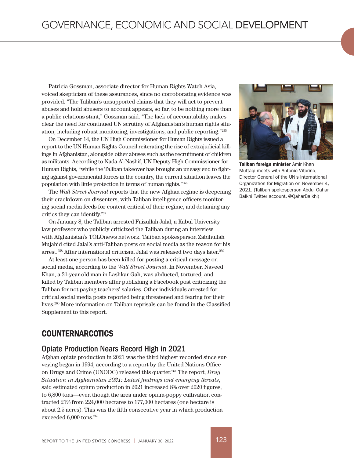Patricia Gossman, associate director for Human Rights Watch Asia, voiced skepticism of these assurances, since no corroborating evidence was provided. "The Taliban's unsupported claims that they will act to prevent abuses and hold abusers to account appears, so far, to be nothing more than a public relations stunt," Gossman said. "The lack of accountability makes clear the need for continued UN scrutiny of Afghanistan's human rights situation, including robust monitoring, investigations, and public reporting."<sup>255</sup>

On December 14, the UN High Commissioner for Human Rights issued a report to the UN Human Rights Council reiterating the rise of extrajudicial killings in Afghanistan, alongside other abuses such as the recruitment of children as militants. According to Nada Al-Nashif, UN Deputy High Commissioner for Human Rights, "while the Taliban takeover has brought an uneasy end to fighting against governmental forces in the country, the current situation leaves the population with little protection in terms of human rights."256

The *Wall Street Journal* reports that the new Afghan regime is deepening their crackdown on dissenters, with Taliban intelligence officers monitoring social media feeds for content critical of their regime, and detaining any critics they can identify.257

On January 8, the Taliban arrested Faizullah Jalal, a Kabul University law professor who publicly criticized the Taliban during an interview with Afghanistan's TOLOnews network. Taliban spokesperson Zabihullah Mujahid cited Jalal's anti-Taliban posts on social media as the reason for his arrest.258 After international criticism, Jalal was released two days later.259

At least one person has been killed for posting a critical message on social media, according to the *Wall Street Journal*. In November, Naveed Khan, a 31-year-old man in Lashkar Gah, was abducted, tortured, and killed by Taliban members after publishing a Facebook post criticizing the Taliban for not paying teachers' salaries. Other individuals arrested for critical social media posts reported being threatened and fearing for their lives.260 More information on Taliban reprisals can be found in the Classified Supplement to this report.

# COUNTERNARCOTICS

## Opiate Production Nears Record High in 2021

Afghan opiate production in 2021 was the third highest recorded since surveying began in 1994, according to a report by the United Nations Office on Drugs and Crime (UNODC) released this quarter.261 The report, *Drug Situation in Afghanistan 2021: Latest findings and emerging threats*, said estimated opium production in 2021 increased 8% over 2020 figures, to 6,800 tons—even though the area under opium-poppy cultivation contracted 21% from 224,000 hectares to 177,000 hectares (one hectare is about 2.5 acres). This was the fifth consecutive year in which production exceeded 6,000 tons.262



Taliban foreign minister Amir Khan Muttaqi meets with Antonio Vitorino, Director General of the UN's International Organization for Migration on November 4, 2021. (Taliban spokesperson Abdul Qahar Balkhi Twitter account, @QaharBalkhi)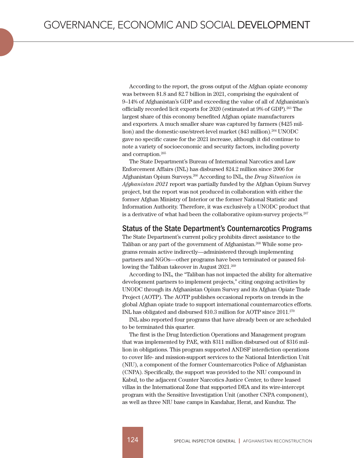According to the report, the gross output of the Afghan opiate economy was between \$1.8 and \$2.7 billion in 2021, comprising the equivalent of 9–14% of Afghanistan's GDP and exceeding the value of all of Afghanistan's officially recorded licit exports for 2020 (estimated at 9% of GDP).263 The largest share of this economy benefited Afghan opiate manufacturers and exporters. A much smaller share was captured by farmers (\$425 million) and the domestic-use/street-level market (\$43 million).<sup>264</sup> UNODC gave no specific cause for the 2021 increase, although it did continue to note a variety of socioeconomic and security factors, including poverty and corruption.265

The State Department's Bureau of International Narcotics and Law Enforcement Affairs (INL) has disbursed \$24.2 million since 2006 for Afghanistan Opium Surveys.266 According to INL, the *Drug Situation in Afghanistan 2021* report was partially funded by the Afghan Opium Survey project, but the report was not produced in collaboration with either the former Afghan Ministry of Interior or the former National Statistic and Information Authority. Therefore, it was exclusively a UNODC product that is a derivative of what had been the collaborative opium-survey projects.<sup>267</sup>

#### Status of the State Department's Counternarcotics Programs

The State Department's current policy prohibits direct assistance to the Taliban or any part of the government of Afghanistan.268 While some programs remain active indirectly—administered through implementing partners and NGOs—other programs have been terminated or paused following the Taliban takeover in August 2021.<sup>269</sup>

According to INL, the "Taliban has not impacted the ability for alternative development partners to implement projects," citing ongoing activities by UNODC through its Afghanistan Opium Survey and its Afghan Opiate Trade Project (AOTP). The AOTP publishes occasional reports on trends in the global Afghan opiate trade to support international counternarcotics efforts. INL has obligated and disbursed \$10.3 million for AOTP since 2011.270

INL also reported four programs that have already been or are scheduled to be terminated this quarter.

The first is the Drug Interdiction Operations and Management program that was implemented by PAE, with \$311 million disbursed out of \$316 million in obligations. This program supported ANDSF interdiction operations to cover life- and mission-support services to the National Interdiction Unit (NIU), a component of the former Counternarcotics Police of Afghanistan (CNPA). Specifically, the support was provided to the NIU compound in Kabul, to the adjacent Counter Narcotics Justice Center, to three leased villas in the International Zone that supported DEA and its wire-intercept program with the Sensitive Investigation Unit (another CNPA component), as well as three NIU base camps in Kandahar, Herat, and Kunduz. The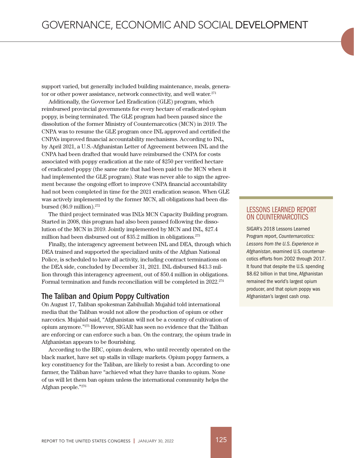support varied, but generally included building maintenance, meals, generator or other power assistance, network connectivity, and well water.<sup>271</sup>

Additionally, the Governor Led Eradication (GLE) program, which reimbursed provincial governments for every hectare of eradicated opium poppy, is being terminated. The GLE program had been paused since the dissolution of the former Ministry of Counternarcotics (MCN) in 2019. The CNPA was to resume the GLE program once INL approved and certified the CNPA's improved financial accountability mechanisms. According to INL, by April 2021, a U.S.-Afghanistan Letter of Agreement between INL and the CNPA had been drafted that would have reimbursed the CNPA for costs associated with poppy eradication at the rate of \$250 per verified hectare of eradicated poppy (the same rate that had been paid to the MCN when it had implemented the GLE program). State was never able to sign the agreement because the ongoing effort to improve CNPA financial accountability had not been completed in time for the 2021 eradication season. When GLE was actively implemented by the former MCN, all obligations had been disbursed (\$6.9 million).272

The third project terminated was INL's MCN Capacity Building program. Started in 2008, this program had also been paused following the dissolution of the MCN in 2019. Jointly implemented by MCN and INL, \$27.4 million had been disbursed out of \$35.2 million in obligations.<sup>273</sup>

Finally, the interagency agreement between INL and DEA, through which DEA trained and supported the specialized units of the Afghan National Police, is scheduled to have all activity, including contract terminations on the DEA side, concluded by December 31, 2021. INL disbursed \$43.3 million through this interagency agreement, out of \$50.4 million in obligations. Formal termination and funds reconciliation will be completed in 2022.274

#### The Taliban and Opium Poppy Cultivation

On August 17, Taliban spokesman Zabihullah Mujahid told international media that the Taliban would not allow the production of opium or other narcotics. Mujahid said, "Afghanistan will not be a country of cultivation of opium anymore."275 However, SIGAR has seen no evidence that the Taliban are enforcing or can enforce such a ban. On the contrary, the opium trade in Afghanistan appears to be flourishing.

According to the BBC, opium dealers, who until recently operated on the black market, have set up stalls in village markets. Opium poppy farmers, a key constituency for the Taliban, are likely to resist a ban. According to one farmer, the Taliban have "achieved what they have thanks to opium. None of us will let them ban opium unless the international community helps the Afghan people."276

## LESSONS LEARNED REPORT ON COUNTERNARCOTICS

SIGAR's 2018 Lessons Learned Program report, *Counternarcotics: Lessons from the U.S. Experience in Afghanistan*, examined U.S. counternarcotics efforts from 2002 through 2017. It found that despite the U.S. spending \$8.62 billion in that time, Afghanistan remained the world's largest opium producer, and that opium poppy was Afghanistan's largest cash crop.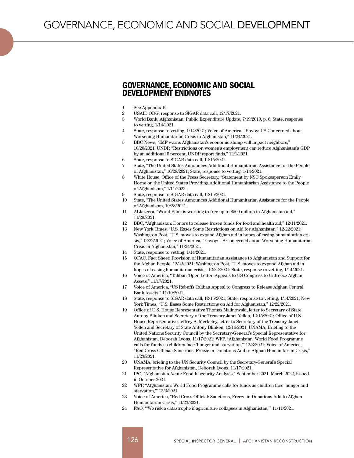## GOVERNANCE, ECONOMIC AND SOCIAL DEVELOPMENT ENDNOTES

- 1 See Appendix B.
- 2 USAID ODG, response to SIGAR data call, 12/17/2021.
- 3 World Bank, Afghanistan: Public Expenditure Update, 7/19/2019, p. 6; State, response to vetting, 1/14/2021.
- 4 State, response to vetting, 1/14/2021; Voice of America, "Envoy: US Concerned about Worsening Humanitarian Crisis in Afghanistan," 11/24/2021.
- 5 BBC News, "IMF warns Afghanistan's economic slump will impact neighbors," 10/20/2021; UNDP, "Restrictions on women's employment can reduce Afghanistan's GDP by an additional 5 percent, UNDP report finds," 12/1/2021.
- 6 State, response to SIGAR data call, 12/15/2021.
- 7 State, "The United States Announces Additional Humanitarian Assistance for the People of Afghanistan," 10/28/2021; State, response to vetting, 1/14/2021.
- 8 White House, Office of the Press Secretary, "Statement by NSC Spokesperson Emily Horne on the United States Providing Additional Humanitarian Assistance to the People of Afghanistan," 1/11/2022.
- 9 State, response to SIGAR data call, 12/15/2021.
- 10 State, "The United States Announces Additional Humanitarian Assistance for the People of Afghanistan, 10/28/2021.
- 11 Al Jazeera, "World Bank is working to free up to \$500 million in Afghanistan aid," 11/29/2021.
- 12 BBC, "Afghanistan: Donors to release frozen funds for food and health aid," 12/11/2021.
- 13 New York Times, "U.S. Eases Some Restrictions on Aid for Afghanistan," 12/22/2021; Washington Post, "U.S. moves to expand Afghan aid in hopes of easing humanitarian crisis," 12/22/2021; Voice of America, "Envoy: US Concerned about Worsening Humanitarian Crisis in Afghanistan," 11/24/2021.
- 14 State, response to vetting, 1/14/2021.
- 15 OFAC, Fact Sheet: Provision of Humanitarian Assistance to Afghanistan and Support for the Afghan People, 12/22/2021; Washington Post, "U.S. moves to expand Afghan aid in hopes of easing humanitarian crisis," 12/22/2021; State, response to vetting, 1/14/2021.
- 16 Voice of America, "Taliban 'Open Letter' Appeals to US Congress to Unfreeze Afghan Assets," 11/17/2021.
- 17 Voice of America, "US Rebuffs Taliban Appeal to Congress to Release Afghan Central Bank Assets," 11/19/2021.
- 18 State, response to SIGAR data call, 12/15/2021; State, response to vetting, 1/14/2021; New York Times, "U.S. Eases Some Restrictions on Aid for Afghanistan," 12/22/2021.
- 19 Office of U.S. House Representative Thomas Malinowski, letter to Secretary of State Antony Blinken and Secretary of the Treasury Janet Yellen, 12/15/2021; Office of U.S. House Representative Jeffrey A. Merkeley, letter to Secretary of the Treasury Janet Yellen and Secretary of State Antony Blinken, 12/16/2021; UNAMA, Briefing to the United Nations Security Council by the Secretary-General's Special Representative for Afghanistan, Deborah Lyons, 11/17/2021; WFP, "Afghanistan: World Food Programme calls for funds as children face 'hunger and starvation,'" 12/3/2021; Voice of America, "Red Cross Official: Sanctions, Freeze in Donations Add to Afghan Humanitarian Crisis," 11/23/2021.
- 20 UNAMA, briefing to the UN Security Council by the Secretary-General's Special Representative for Afghanistan, Deborah Lyons, 11/17/2021.
- 21 IPC, "Afghanistan Acute Food Insecurity Analysis," September 2021–March 2022, issued in October 2021.
- 22 WFP, "Afghanistan: World Food Programme calls for funds as children face 'hunger and starvation,'" 12/3/2021.
- 23 Voice of America, "Red Cross Official: Sanctions, Freeze in Donations Add to Afghan Humanitarian Crisis," 11/23/2021.
- 24 FAO, "'We risk a catastrophe if agriculture collapses in Afghanistan,'" 11/11/2021.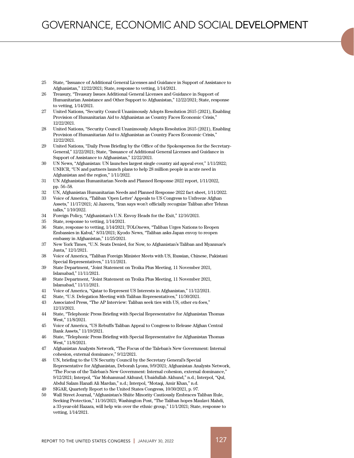- 25 State, "Issuance of Additional General Licenses and Guidance in Support of Assistance to Afghanistan," 12/22/2021; State, response to vetting, 1/14/2021.
- 26 Treasury, "Treasury Issues Additional General Licenses and Guidance in Support of Humanitarian Assistance and Other Support to Afghanistan," 12/22/2021; State, response to vetting, 1/14/2021.
- 27 United Nations, "Security Council Unanimously Adopts Resolution 2615 (2021), Enabling Provision of Humanitarian Aid to Afghanistan as Country Faces Economic Crisis," 12/22/2021.
- 28 United Nations, "Security Council Unanimously Adopts Resolution 2615 (2021), Enabling Provision of Humanitarian Aid to Afghanistan as Country Faces Economic Crisis," 12/22/2021.
- 29 United Nations, "Daily Press Briefing by the Office of the Spokesperson for the Secretary-General," 12/22/2021; State, "Issuance of Additional General Licenses and Guidance in Support of Assistance to Afghanistan," 12/22/2021.
- 30 UN News, "Afghanistan: UN launches largest single country aid appeal ever," 1/11/2022; UNHCR, "UN and partners launch plans to help 28 million people in acute need in Afghanistan and the region," 1/11/2022.
- 31 UN Afghanistan Humanitarian Needs and Planned Response 2022 report, 1/11/2022, pp. 56–58.
- 32 UN, Afghanistan Humanitarian Needs and Planned Response 2022 fact sheet, 1/11/2022.
- 33 Voice of America, "Taliban 'Open Letter' Appeals to US Congress to Unfreeze Afghan Assets," 11/17/2021; Al Jazeera, "Iran says won't officially recognize Taliban after Tehran talks," 1/10/2022.
- 34 Foreign Policy, "Afghanistan's U.N. Envoy Heads for the Exit," 12/16/2021.
- 35 State, response to vetting, 1/14/2021.
- 36 State, response to vetting, 1/14/2021; TOLOnews, "Taliban Urges Nations to Reopen Embassies in Kabul," 8/31/2021; Kyodo News, "Taliban asks Japan envoy to reopen embassy in Afghanistan," 11/25/2021.
- 37 New York Times, "U.N. Seats Denied, for Now, to Afghanistan's Taliban and Myanmar's Junta," 12/1/2021.
- 38 Voice of America, "Taliban Foreign Minister Meets with US, Russian, Chinese, Pakistani Special Representatives," 11/11/2021.
- 39 State Department, "Joint Statement on Troika Plus Meeting, 11 November 2021, Islamabad," 11/11/2021.
- 40 State Department, "Joint Statement on Troika Plus Meeting, 11 November 2021, Islamabad," 11/11/2021.
- 41 Voice of America, "Qatar to Represent US Interests in Afghanistan," 11/12/2021.
- 42 State, "U.S. Delegation Meeting with Taliban Representatives," 11/30/2021.
- 43 Associated Press, "The AP Interview: Taliban seek ties with US, other ex-foes," 12/13/2021.
- 44 State, "Telephonic Press Briefing with Special Representative for Afghanistan Thomas West," 11/8/2021.
- 45 Voice of America, "US Rebuffs Taliban Appeal to Congress to Release Afghan Central Bank Assets," 11/19/2021.
- 46 State, "Telephonic Press Briefing with Special Representative for Afghanistan Thomas West," 11/8/2021.
- 47 Afghanistan Analysts Network, "The Focus of the Taleban's New Government: Internal cohesion, external dominance," 9/12/2021.
- 48 UN, briefing to the UN Security Council by the Secretary General's Special Representative for Afghanistan, Deborah Lyons, 9/9/2021; Afghanistan Analysts Network, "The Focus of the Taleban's New Government: Internal cohesion, external dominance," 9/12/2021; Interpol, "Yar Mohammad Akhund, Ubaidullah Akhund," n.d.; Interpol, "Qul, Abdul Salam Hanafi Ali Mardan," n.d.; Interpol, "Motaqi, Amir Khan," n.d.
- 49 SIGAR, Quarterly Report to the United States Congress, 10/30/2021, p. 97.
- 50 Wall Street Journal, "Afghanistan's Shiite Minority Cautiously Embraces Taliban Rule, Seeking Protection," 11/16/2021; Washington Post, "The Taliban hopes Maulavi Mahdi, a 33-year-old Hazara, will help win over the ethnic group," 11/1/2021; State, response to vetting, 1/14/2021.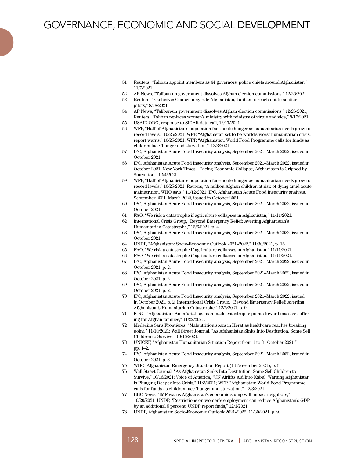- 51 Reuters, "Taliban appoint members as 44 governors, police chiefs around Afghanistan," 11/7/2021.
- 52 AP News, "Taliban-un government dissolves Afghan election commissions," 12/26/2021.
- 53 Reuters, "Exclusive: Council may rule Afghanistan, Taliban to reach out to soldiers, pilots," 8/18/2021.
- 54 AP News, "Taliban-un government dissolves Afghan election commissions," 12/26/2021; Reuters, "Taliban replaces women's ministry with ministry of virtue and vice," 9/17/2021.
- 55 USAID ODG, response to SIGAR data call, 12/17/2021.
- 56 WFP, "Half of Afghanistan's population face acute hunger as humanitarian needs grow to record levels," 10/25/2021; WFP, "Afghanistan set to be world's worst humanitarian crisis, report warns," 10/25/2021; WFP, "Afghanistan: World Food Programme calls for funds as children face 'hunger and starvation,'" 12/3/2021.
- 57 IPC, Afghanistan Acute Food Insecurity analysis, September 2021–March 2022, issued in October 2021.
- 58 IPC, Afghanistan Acute Food Insecurity analysis, September 2021–March 2022, issued in October 2021; New York Times, "Facing Economic Collapse, Afghanistan is Gripped by Starvation," 12/4/2021.
- 59 WFP, "Half of Afghanistan's population face acute hunger as humanitarian needs grow to record levels," 10/25/2021; Reuters, "A million Afghan children at risk of dying amid acute malnutrition, WHO says," 11/12/2021; IPC, Afghanistan Acute Food Insecurity analysis, September 2021–March 2022, issued in October 2021.
- 60 IPC, Afghanistan Acute Food Insecurity analysis, September 2021–March 2022, issued in October 2021.
- 61 FAO, "We risk a catastrophe if agriculture collapses in Afghanistan," 11/11/2021.
- 62 International Crisis Group, "Beyond Emergency Relief: Averting Afghanistan's Humanitarian Catastrophe," 12/6/2021, p. 4.
- 63 IPC, Afghanistan Acute Food Insecurity analysis, September 2021–March 2022, issued in October 2021.
- 64 UNDP, "Afghanistan: Socio-Economic Outlook 2021–2022," 11/30/2021, p. 16.
- 65 FAO, "We risk a catastrophe if agriculture collapses in Afghanistan," 11/11/2021.
- 66 FAO, "We risk a catastrophe if agriculture collapses in Afghanistan," 11/11/2021.
- 67 IPC, Afghanistan Acute Food Insecurity analysis, September 2021–March 2022, issued in October 2021, p. 2.
- 68 IPC, Afghanistan Acute Food Insecurity analysis, September 2021–March 2022, issued in October 2021, p. 2.
- 69 IPC, Afghanistan Acute Food Insecurity analysis, September 2021–March 2022, issued in October 2021, p. 2.
- 70 IPC, Afghanistan Acute Food Insecurity analysis, September 2021–March 2022, issued in October 2021, p. 2; International Crisis Group, "Beyond Emergency Relief: Averting Afghanistan's Humanitarian Catastrophe," 12/6/2021, p. 9.
- 71 ICRC, "Afghanistan: An infuriating, man-made catastrophe points toward massive suffering for Afghan families," 11/22/2021.
- 72 Médecins Sans Frontières, "Malnutrition soars in Herat as healthcare reaches breaking point," 11/10/2021; Wall Street Journal, "As Afghanistan Sinks Into Destitution, Some Sell Children to Survive," 10/16/2021.
- 73 UNICEF, "Afghanistan Humanitarian Situation Report from 1 to 31 October 2021," pp. 1–2.
- 74 IPC, Afghanistan Acute Food Insecurity analysis, September 2021–March 2022, issued in October 2021, p. 3.
- 75 WHO, Afghanistan Emergency Situation Report (14 November 2021), p. 5.
- 76 Wall Street Journal, "As Afghanistan Sinks Into Destitution, Some Sell Children to Survive," 10/16/2021; Voice of America, "UN Airlifts Aid Into Kabul, Warning Afghanistan is Plunging Deeper Into Crisis," 11/3/2021; WFP, "Afghanistan: World Food Programme calls for funds as children face 'hunger and starvation,'" 12/3/2021.
- 77 BBC News, "IMF warns Afghanistan's economic slump will impact neighbors," 10/20/2021; UNDP, "Restrictions on women's employment can reduce Afghanistan's GDP by an additional 5 percent, UNDP report finds," 12/1/2021.
- 78 UNDP, Afghanistan: Socio-Economic Outlook 2021–2022, 11/30/2021, p. 9.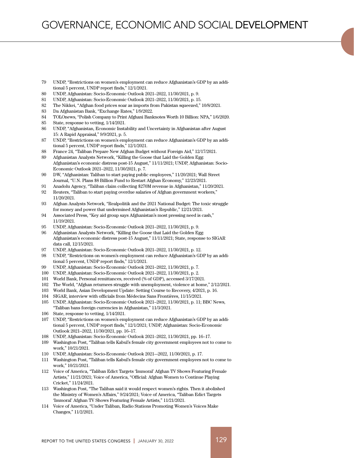- 79 UNDP, "Restrictions on women's employment can reduce Afghanistan's GDP by an additional 5 percent, UNDP report finds," 12/1/2021.
- 80 UNDP, Afghanistan: Socio-Economic Outlook 2021–2022, 11/30/2021, p. 9.
- 81 UNDP, Afghanistan: Socio-Economic Outlook 2021–2022, 11/30/2021, p. 15.
- 82 The Nikkei, "Afghan food prices soar as imports from Pakistan squeezed," 10/8/2021.
- 83 Da Afghanistan Bank, "Exchange Rates," 1/9/2022.
- 84 TOLOnews, "Polish Company to Print Afghani Banknotes Worth 10 Billion: NPA," 1/6/2020.
- 85 State, response to vetting, 1/14/2021.
- 86 UNDP, "Afghanistan, Economic Instability and Uncertainty in Afghanistan after August 15: A Rapid Appraisal," 9/9/2021, p. 5.
- 87 UNDP, "Restrictions on women's employment can reduce Afghanistan's GDP by an additional 5 percent, UNDP report finds," 12/1/2021.
- 88 France 24, "Taliban Prepare New Afghan Budget without Foreign Aid," 12/17/2021.
- 89 Afghanistan Analysts Network, "Killing the Goose that Laid the Golden Egg: Afghanistan's economic distress post-15 August," 11/11/2021; UNDP, Afghanistan: Socio-Economic Outlook 2021–2022, 11/30/2021, p. 7.
- 90 DW, "Afghanistan: Taliban to start paying public employees," 11/20/2021; Wall Street Journal, "U.N. Plans \$8 Billion Fund to Restart Afghan Economy," 12/23/2021.
- 91 Anadolu Agency, "Taliban claim collecting \$270M revenue in Afghanistan," 11/20/2021.
- 92 Reuters, "Taliban to start paying overdue salaries of Afghan government workers," 11/20/2021.
- 93 Afghan Analysts Network, "Realpolitik and the 2021 National Budget: The toxic struggle for money and power that undermined Afghanistan's Republic," 12/21/2021.
- 94 Associated Press, "Key aid group says Afghanistan's most pressing need is cash," 11/19/2021.
- 95 UNDP, Afghanistan: Socio-Economic Outlook 2021–2022, 11/30/2021, p. 9.
- 96 Afghanistan Analysts Network, "Killing the Goose that Laid the Golden Egg: Afghanistan's economic distress post-15 August," 11/11/2021; State, response to SIGAR data call, 12/15/2021.
- 97 UNDP, Afghanistan: Socio-Economic Outlook 2021–2022, 11/30/2021, p. 12.
- 98 UNDP, "Restrictions on women's employment can reduce Afghanistan's GDP by an additional 5 percent, UNDP report finds," 12/1/2021.
- 99 UNDP, Afghanistan: Socio-Economic Outlook 2021–2022, 11/30/2021, p. 7.
- 100 UNDP, Afghanistan: Socio-Economic Outlook 2021–2022, 11/30/2021, p. 2.
- 101 World Bank, Personal remittances, received (% of GDP), accessed 3/17/2021.
- 102 The World, "Afghan returnees struggle with unemployment, violence at home," 2/12/2021.
- 103 World Bank, Asian Development Update: Setting Course to Recovery, 4/2021, p. 16.
- 104 SIGAR, interview with officials from Médecins Sans Frontières, 11/15/2021.
- 105 UNDP, Afghanistan: Socio-Economic Outlook 2021–2022, 11/30/2021, p. 11; BBC News, "Taliban bans foreign currencies in Afghanistan," 11/3/2021.
- 106 State, response to vetting, 1/14/2021.
- 107 UNDP, "Restrictions on women's employment can reduce Afghanistan's GDP by an additional 5 percent, UNDP report finds," 12/1/2021; UNDP, Afghanistan: Socio-Economic Outlook 2021–2022, 11/30/2021, pp. 16–17.
- 108 UNDP, Afghanistan: Socio-Economic Outlook 2021–2022, 11/30/2021, pp. 16–17.
- 109 Washington Post, "Taliban tells Kabul's female city government employees not to come to work," 10/21/2021.
- 110 UNDP, Afghanistan: Socio-Economic Outlook 2021–-2022, 11/30/2021, p. 17.
- 111 Washington Post, "Taliban tells Kabul's female city government employees not to come to work," 10/21/2021.
- 112 Voice of America, "Taliban Edict Targets 'Immoral' Afghan TV Shows Featuring Female Artists," 11/21/2021; Voice of America, "Official: Afghan Women to Continue Playing Cricket," 11/24/2021.
- 113 Washington Post, "The Taliban said it would respect women's rights. Then it abolished the Ministry of Women's Affairs," 9/24/2021; Voice of America, "Taliban Edict Targets 'Immoral' Afghan TV Shows Featuring Female Artists," 11/21/2021.
- 114 Voice of America, "Under Taliban, Radio Stations Promoting Women's Voices Make Changes," 11/2/2021.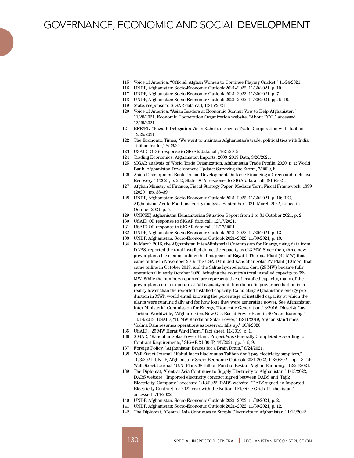- 115 Voice of America, "Official: Afghan Women to Continue Playing Cricket," 11/24/2021.
- 116 UNDP, Afghanistan: Socio-Economic Outlook 2021–2022, 11/30/2021, p. 10.
- 117 UNDP, Afghanistan: Socio-Economic Outlook 2021–2022, 11/30/2021, p. 7.
- 118 UNDP, Afghanistan: Socio-Economic Outlook 2021–2022, 11/30/2021, pp. 9–10.
- 119 State, response to SIGAR data call, 12/15/2021.
- 120 Voice of America, "Asian Leaders at Economic Summit Vow to Help Afghanistan," 11/28/2021; Economic Cooperation Organization website, "About ECO," accessed 12/29/2021.
- 121 RFE/RL, "Kazakh Delegation Visits Kabul to Discuss Trade, Cooperation with Taliban," 12/25/2021.
- 122 The Economic Times, "We want to maintain Afghanistan's trade, political ties with India: Taliban leader," 8/26/21.
- 123 USAID, OEG, response to SIGAR data call, 3/21/2019.
- 124 Trading Economics, Afghanistan Imports, 2003–2019 Data, 3/26/2021.
- 125 SIGAR analysis of World Trade Organization, Afghanistan Trade Profile, 2020, p. 1; World Bank, Afghanistan Development Update: Surviving the Storm, 7/2020, iii.
- 126 Asian Development Bank, "Asian Development Outlook: Financing a Green and Inclusive Recovery," 4/2021, p. 232; State, SCA, response to SIGAR data call, 6/16/2021.
- 127 Afghan Ministry of Finance, Fiscal Strategy Paper: Medium Term Fiscal Framework, 1399 (2020), pp. 38–39.
- 128 UNDP, Afghanistan: Socio-Economic Outlook 2021–2022, 11/30/2021, p. 10; IPC, Afghanistan Acute Food Insecurity analysis, September 2021–March 2022, issued in October 2021, p. 5.
- 129 UNICEF, Afghanistan Humanitarian Situation Report from 1 to 31 October 2021, p. 2.
- 130 USAID OI, response to SIGAR data call, 12/17/2021.
- 131 USAID OI, response to SIGAR data call, 12/17/2021.
- 132 UNDP, Afghanistan: Socio-Economic Outlook 2021–2022, 11/30/2021, p. 13.
- 133 UNDP, Afghanistan: Socio-Economic Outlook 2021–2022, 11/30/2021, p. 13.
- 134 In March 2016, the Afghanistan Inter-Ministerial Commission for Energy, using data from DABS, reported the total installed domestic capacity as 623 MW. Since then, three new power plants have come online: the first phase of Bayat-1 Thermal Plant (41 MW) that came online in November 2019, the USAID-funded Kandahar Solar PV Plant (10 MW) that came online in October 2019, and the Salma hydroelectric dam (25 MW) became fully operational in early October 2020, bringing the country's total installed capacity to 699 MW. While the numbers reported are representative of installed capacity, many of the power plants do not operate at full capacity and thus domestic power production is in reality lower than the reported installed capacity. Calculating Afghanistan's energy production in MWh would entail knowing the percentage of installed capacity at which the plants were running daily and for how long they were generating power. See Afghanistan Inter-Ministerial Commission for Energy, "Domestic Generation," 3/2016. Diesel & Gas Turbine Worldwide, "Afghan's First New Gas-Based Power Plant in 40 Years Running," 11/14/2019; USAID, "10 MW Kandahar Solar Power," 12/11/2019; Afghanistan Times, "Salma Dam resumes operations as reservoir fills up," 10/4/2020.
- 135 USAID, "25 MW Herat Wind Farm," fact sheet, 11/2019, p. 1.
- 136 SIGAR, "Kandahar Solar Power Plant: Project Was Generally Completed According to Contract Requirements," SIGAR 21-30-IP, 4/5/2021, pp. 5–6, 9.
- 137 Foreign Policy, "Afghanistan Braces for a Brain Drain," 8/24/2021.
- 138 Wall Street Journal, "Kabul faces blackout as Taliban don't pay electricity suppliers," 10/3/2021; UNDP, Afghanistan: Socio-Economic Outlook 2021-2022, 11/30/2021, pp. 13–14; Wall Street Journal, "U.N. Plans \$8 Billion Fund to Restart Afghan Economy," 12/23/2021.
- 139 The Diplomat, "Central Asia Continues to Supply Electricity to Afghanistan," 1/13/2022; DABS website, "Imported electricity contract signed between DABS and 'Tajik Electricity' Company," accessed 1/13/2022; DABS website, "DABS signed an Imported Electricity Contract for 2022 year with the National Electric Grid of Uzbekistan," accessed 1/13/2022.
- 140 UNDP, Afghanistan: Socio-Economic Outlook 2021–2022, 11/30/2021, p. 2.
- 141 UNDP, Afghanistan: Socio-Economic Outlook 2021–2022, 11/30/2021, p. 12.
- 142 The Diplomat, "Central Asia Continues to Supply Electricity to Afghanistan," 1/13/2022.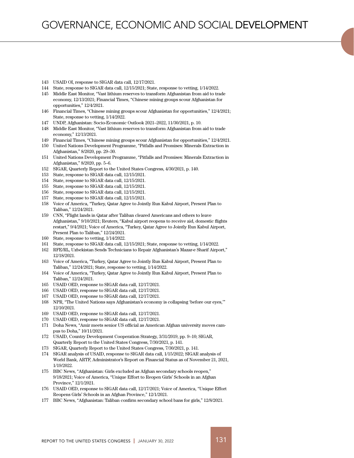- 143 USAID OI, response to SIGAR data call, 12/17/2021.
- 144 State, response to SIGAR data call, 12/15/2021; State, response to vetting, 1/14/2022.
- 145 Middle East Monitor, "Vast lithium reserves to transform Afghanistan from aid to trade economy, 12/13/2021; Financial Times, "Chinese mining groups scour Afghanistan for opportunities," 12/4/2021.
- 146 Financial Times, "Chinese mining groups scour Afghanistan for opportunities," 12/4/2021; State, response to vetting, 1/14/2022.
- 147 UNDP, Afghanistan: Socio-Economic Outlook 2021–2022, 11/30/2021, p. 10.
- 148 Middle East Monitor, "Vast lithium reserves to transform Afghanistan from aid to trade economy," 12/13/2021.
- 149 Financial Times, "Chinese mining groups scour Afghanistan for opportunities," 12/4/2021.
- 150 United Nations Development Programme, "Pitfalls and Promises: Minerals Extraction in Afghanistan," 8/2020, pp. 29–30.
- 151 United Nations Development Programme, "Pitfalls and Promises: Minerals Extraction in Afghanistan," 8/2020, pp. 5–6.
- 152 SIGAR, Quarterly Report to the United States Congress, 4/30/2021, p. 140.
- 153 State, response to SIGAR data call, 12/15/2021.
- 154 State, response to SIGAR data call, 12/15/2021.
- 155 State, response to SIGAR data call, 12/15/2021.
- 156 State, response to SIGAR data call, 12/15/2021.
- 157 State, response to SIGAR data call, 12/15/2021.
- 158 Voice of America, "Turkey, Qatar Agree to Jointly Run Kabul Airport, Present Plan to Taliban," 12/24/2021.
- 159 CNN, "Flight lands in Qatar after Taliban cleared Americans and others to leave Afghanistan," 9/10/2021; Reuters, "Kabul airport reopens to receive aid, domestic flights restart," 9/4/2021; Voice of America, "Turkey, Qatar Agree to Jointly Run Kabul Airport, Present Plan to Taliban," 12/24/2021.
- 160 State, response to vetting, 1/14/2022.
- 161 State, response to SIGAR data call, 12/15/2021; State, response to vetting, 1/14/2022.
- 162 RFE/RL, Uzbekistan Sends Technicians to Repair Afghanistan's Mazar-e Sharif Airport," 12/18/2021.
- 163 Voice of America, "Turkey, Qatar Agree to Jointly Run Kabul Airport, Present Plan to Taliban," 12/24/2021; State, response to vetting, 1/14/2022.
- 164 Voice of America, "Turkey, Qatar Agree to Jointly Run Kabul Airport, Present Plan to Taliban," 12/24/2021.
- 165 USAID OED, response to SIGAR data call, 12/17/2021.
- 166 USAID OED, response to SIGAR data call, 12/17/2021.
- 167 USAID OED, response to SIGAR data call, 12/17/2021.
- 168 NPR, "The United Nations says Afghanistan's economy is collapsing 'before our eyes,'" 12/10/2021.
- 169 USAID OED, response to SIGAR data call, 12/17/2021.
- 170 USAID OED, response to SIGAR data call, 12/17/2021.
- 171 Doha News, "Amir meets senior US official as American Afghan university moves campus to Doha," 10/11/2021.
- 172 USAID, Country Development Cooperation Strategy, 3/31/2019, pp. 9–10; SIGAR, Quarterly Report to the United States Congress, 7/30/2021, p. 141.
- 173 SIGAR, Quarterly Report to the United States Congress, 7/30/2021, p. 141.
- 174 SIGAR analysis of USAID, response to SIGAR data call, 1/15/2022; SIGAR analysis of World Bank, ARTF, Administrator's Report on Financial Status as of November 21, 2021, 1/19/2022.
- 175 BBC News, "Afghanistan: Girls excluded as Afghan secondary schools reopen," 9/18/2021; Voice of America, "Unique Effort to Reopen Girls' Schools in an Afghan Province," 12/1/2021.
- 176 USAID OED, response to SIGAR data call, 12/17/2021; Voice of America, "Unique Effort Reopens Girls' Schools in an Afghan Province," 12/1/2021.
- 177 BBC News, "Afghanistan: Taliban confirm secondary school bans for girls," 12/8/2021.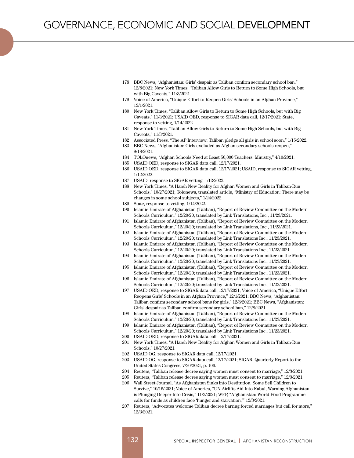- 178 BBC News, "Afghanistan: Girls' despair as Taliban confirm secondary school ban," 12/8/2021; New York Times, "Taliban Allow Girls to Return to Some High Schools, but with Big Caveats," 11/3/2021.
- 179 Voice of America, "Unique Effort to Reopen Girls' Schools in an Afghan Province," 12/1/2021.
- 180 New York Times, "Taliban Allow Girls to Return to Some High Schools, but with Big Caveats," 11/3/2021; USAID OED, response to SIGAR data call, 12/17/2021; State, response to vetting, 1/14/2022.
- 181 New York Times, "Taliban Allow Girls to Return to Some High Schools, but with Big Caveats," 11/3/2021.
- 182 Associated Press, "The AP Interview: Taliban pledge all girls in school soon," 1/15/2022.
- 183 BBC News, "Afghanistan: Girls excluded as Afghan secondary schools reopen," 9/18/2021.
- 184 TOLOnews, "Afghan Schools Need at Least 50,000 Teachers: Ministry," 4/10/2021.
- 185 USAID OED, response to SIGAR data call, 12/17/2021.
- 186 USAID OED, response to SIGAR data call, 12/17/2021; USAID, response to SIGAR vetting, 1/12/2022.
- 187 USAID, response to SIGAR vetting, 1/12/2022.
- 188 New York Times, "A Harsh New Reality for Afghan Women and Girls in Taliban-Run Schools," 10/27/2021; Tolonews, translated article, "Ministry of Education: There may be changes in some school subjects," 1/24/2022.
- 189 State, response to vetting, 1/14/2022.
- 190 Islamic Emirate of Afghanistan (Taliban), "Report of Review Committee on the Modern Schools Curriculum," 12/20/20; translated by Link Translations, Inc., 11/23/2021.
- 191 Islamic Emirate of Afghanistan (Taliban), "Report of Review Committee on the Modern Schools Curriculum," 12/20/20; translated by Link Translations, Inc., 11/23/2021.
- 192 Islamic Emirate of Afghanistan (Taliban), "Report of Review Committee on the Modern Schools Curriculum," 12/20/20; translated by Link Translations Inc., 11/23/2021.
- 193 Islamic Emirate of Afghanistan (Taliban), "Report of Review Committee on the Modern Schools Curriculum," 12/20/20; translated by Link Translations Inc., 11/23/2021.
- 194 Islamic Emirate of Afghanistan (Taliban), "Report of Review Committee on the Modern Schools Curriculum," 12/20/20; translated by Link Translations Inc., 11/23/2021.
- 195 Islamic Emirate of Afghanistan (Taliban), "Report of Review Committee on the Modern Schools Curriculum," 12/20/20; translated by Link Translations Inc., 11/23/2021.
- 196 Islamic Emirate of Afghanistan (Taliban), "Report of Review Committee on the Modern Schools Curriculum," 12/20/20; translated by Link Translations Inc., 11/23/2021.
- 197 USAID OED, response to SIGAR data call, 12/17/2021; Voice of America, "Unique Effort Reopens Girls' Schools in an Afghan Province," 12/1/2021; BBC News, "Afghanistan: Taliban confirm secondary school bans for girls," 12/8/2021; BBC News, "Afghanistan: Girls' despair as Taliban confirm secondary school ban," 12/8/2021.
- 198 Islamic Emirate of Afghanistan (Taliban), "Report of Review Committee on the Modern Schools Curriculum," 12/20/20; translated by Link Translations Inc., 11/23/2021.
- 199 Islamic Emirate of Afghanistan (Taliban), "Report of Review Committee on the Modern Schools Curriculum," 12/20/20; translated by Link Translations Inc., 11/23/2021.
- 200 USAID OED, response to SIGAR data call, 12/17/2021.
- 201 New York Times, "A Harsh New Reality for Afghan Women and Girls in Taliban-Run Schools," 10/27/2021.
- 202 USAID OG, response to SIGAR data call, 12/17/2021.
- 203 USAID OG, response to SIGAR data call, 12/17/2021; SIGAR, Quarterly Report to the United States Congress, 7/30/2021, p. 106.
- 204 Reuters, "Taliban release decree saying women must consent to marriage," 12/3/2021.
- 205 Reuters, "Taliban release decree saying women must consent to marriage," 12/3/2021.
- 206 Wall Street Journal, "As Afghanistan Sinks into Destitution, Some Sell Children to Survive," 10/16/2021; Voice of America, "UN Airlifts Aid Into Kabul, Warning Afghanistan is Plunging Deeper Into Crisis," 11/3/2021; WFP, "Afghanistan: World Food Programme calls for funds as children face 'hunger and starvation,'" 12/3/2021.
- 207 Reuters, "Advocates welcome Taliban decree barring forced marriages but call for more," 12/3/2021.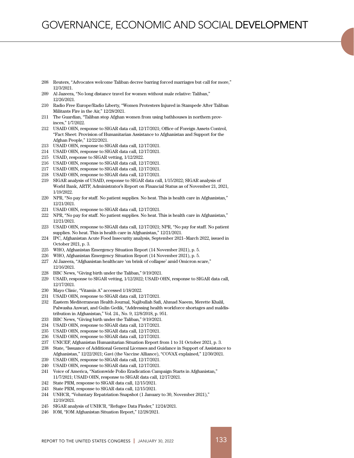- Reuters, "Advocates welcome Taliban decree barring forced marriages but call for more," 12/3/2021.
- Al Jazeera, "No long distance travel for women without male relative: Taliban," 12/26/2021.
- Radio Free Europe/Radio Liberty, "Women Protesters Injured in Stampede After Taliban Militants Fire in the Air," 12/28/2021.
- The Guardian, "Taliban stop Afghan women from using bathhouses in northern provinces," 1/7/2022.
- USAID OHN, response to SIGAR data call, 12/17/2021; Office of Foreign Assets Control, "Fact Sheet: Provision of Humanitarian Assistance to Afghanistan and Support for the Afghan People," 12/22/2021.
- USAID OHN, response to SIGAR data call, 12/17/2021.
- USAID OHN, response to SIGAR data call, 12/17/2021.
- USAID, response to SIGAR vetting, 1/12/2022.
- USAID OHN, response to SIGAR data call, 12/17/2021.
- USAID OHN, response to SIGAR data call, 12/17/2021.
- USAID OHN, response to SIGAR data call, 12/17/2021.
- SIGAR analysis of USAID, response to SIGAR data call, 1/15/2022; SIGAR analysis of World Bank, ARTF, Administrator's Report on Financial Status as of November 21, 2021, 1/19/2022.
- NPR, "No pay for staff. No patient supplies. No heat. This is health care in Afghanistan," 12/21/2021.
- USAID OHN, response to SIGAR data call, 12/17/2021.
- NPR, "No pay for staff. No patient supplies. No heat. This is health care in Afghanistan," 12/21/2021.

 USAID OHN, response to SIGAR data call, 12/17/2021; NPR, "No pay for staff. No patient supplies. No heat. This is health care in Afghanistan," 12/21/2021.

- IPC, Afghanistan Acute Food Insecurity analysis, September 2021–March 2022, issued in October 2021, p. 3.
- WHO, Afghanistan Emergency Situation Report (14 November 2021), p. 5.
- WHO, Afghanistan Emergency Situation Report (14 November 2021), p. 5.
- Al Jazeera, "Afghanistan healthcare 'on brink of collapse' amid Omicron scare," 12/16/2021.
- BBC News, "Giving birth under the Taliban," 9/19/2021.
- USAID, response to SIGAR vetting, 1/12/2022; USAID OHN, response to SIGAR data call, 12/17/2021.
- Mayo Clinic, "Vitamin A" accessed 1/18/2022.
- USAID OHN, response to SIGAR data call, 12/17/2021.
- Eastern Mediterranean Health Journal, Najibullah Safi, Ahmad Naeem, Merette Khalil, Palwasha Anwari, and Gulin Gedik, "Addressing health workforce shortages and maldistribution in Afghanistan," Vol. 24., No. 9, 12/8/2018, p. 951.
- BBC News, "Giving birth under the Taliban," 9/19/2021.
- USAID OHN, response to SIGAR data call, 12/17/2021.
- USAID OHN, response to SIGAR data call, 12/17/2021.
- USAID OHN, response to SIGAR data call, 12/17/2021.
- UNICEF, Afghanistan Humanitarian Situation Report from 1 to 31 October 2021, p. 3.
- State, "Issuance of Additional General Licenses and Guidance in Support of Assistance to Afghanistan," 12/22/2021; Gavi (the Vaccine Alliance), "COVAX explained," 12/30/2021.
- USAID OHN, response to SIGAR data call, 12/17/2021.
- USAID OHN, response to SIGAR data call, 12/17/2021.
- Voice of America, "Nationwide Polio Eradication Campaign Starts in Afghanistan," 11/7/2021; USAID OHN, response to SIGAR data call, 12/17/2021.
- State PRM, response to SIGAR data call, 12/15/2021.
- State PRM, response to SIGAR data call, 12/15/2021.
- UNHCR, "Voluntary Repatriation Snapshot (1 January to 30, November 2021)," 12/19/2021.
- SIGAR analysis of UNHCR, "Refugee Data Finder," 12/24/2021.
- IOM, "IOM Afghanistan Situation Report," 12/28/2021.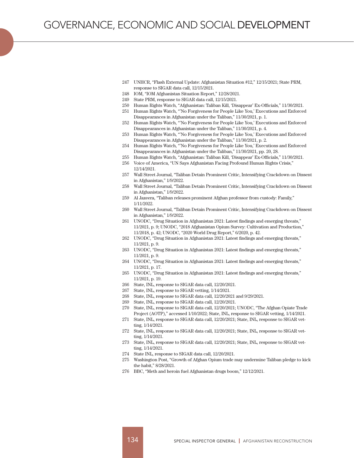- 247 UNHCR, "Flash External Update: Afghanistan Situation #12," 12/15/2021; State PRM, response to SIGAR data call, 12/15/2021.
- 248 IOM, "IOM Afghanistan Situation Report," 12/28/2021.
- 249 State PRM, response to SIGAR data call, 12/15/2021.
- 250 Human Rights Watch, "Afghanistan: Taliban Kill, 'Disappear' Ex-Officials," 11/30/2021.
- 251 Human Rights Watch, "'No Forgiveness for People Like You,' Executions and Enforced Disappearances in Afghanistan under the Taliban," 11/30/2021, p. 1.
- 252 Human Rights Watch, "'No Forgiveness for People Like You,' Executions and Enforced Disappearances in Afghanistan under the Taliban," 11/30/2021, p. 4.
- 253 Human Rights Watch, "'No Forgiveness for People Like You,' Executions and Enforced Disappearances in Afghanistan under the Taliban," 11/30/2021, p. 2.
- 254 Human Rights Watch, "'No Forgiveness for People Like You,' Executions and Enforced Disappearances in Afghanistan under the Taliban," 11/30/2021, pp. 20, 28.
- 255 Human Rights Watch, "Afghanistan: Taliban Kill, 'Disappear' Ex-Officials," 11/30/2021.
- 256 Voice of America, "UN Says Afghanistan Facing Profound Human Rights Crisis," 12/14/2021.
- 257 Wall Street Journal, "Taliban Detain Prominent Critic, Intensifying Crackdown on Dissent in Afghanistan," 1/9/2022.
- 258 Wall Street Journal, "Taliban Detain Prominent Critic, Intensifying Crackdown on Dissent in Afghanistan," 1/9/2022.
- 259 Al Jazeera, "Taliban releases prominent Afghan professor from custody: Family," 1/11/2022.
- 260 Wall Street Journal, "Taliban Detain Prominent Critic, Intensifying Crackdown on Dissent in Afghanistan," 1/9/2022.
- 261 UNODC, "Drug Situation in Afghanistan 2021: Latest findings and emerging threats," 11/2021, p. 9; UNODC, "2018 Afghanistan Opium Survey: Cultivation and Production," 11/2018, p. 42; UNODC, "2020 World Drug Report," 6/2020, p. 42.
- 262 UNODC, "Drug Situation in Afghanistan 2021: Latest findings and emerging threats," 11/2021, p. 9.
- 263 UNODC, "Drug Situation in Afghanistan 2021: Latest findings and emerging threats," 11/2021, p. 9.
- 264 UNODC, "Drug Situation in Afghanistan 2021: Latest findings and emerging threats," 11/2021, p. 17.
- 265 UNODC, "Drug Situation in Afghanistan 2021: Latest findings and emerging threats," 11/2021, p. 19.
- 266 State, INL, response to SIGAR data call, 12/20/2021.
- 267 State, INL, response to SIGAR vetting, 1/14/2021.
- 268 State, INL, response to SIGAR data call, 12/20/2021 and 9/29/2021.
- 269 State, INL, response to SIGAR data call, 12/20/2021.
- 270 State, INL, response to SIGAR data call, 12/20/2021; UNODC, "The Afghan Opiate Trade Project (AOTP)," accessed 1/10/2022; State, INL, response to SIGAR vetting, 1/14/2021.
- 271 State, INL, response to SIGAR data call, 12/20/2021; State, INL, response to SIGAR vetting, 1/14/2021.
- 272 State, INL, response to SIGAR data call, 12/20/2021; State, INL, response to SIGAR vetting, 1/14/2021.
- 273 State, INL, response to SIGAR data call, 12/20/2021; State, INL, response to SIGAR vetting, 1/14/2021.
- 274 State INL, response to SIGAR data call, 12/20/2021.
- 275 Washington Post, "Growth of Afghan Opium trade may undermine Taliban pledge to kick the habit," 8/28/2021.
- 276 BBC, "Meth and heroin fuel Afghanistan drugs boom," 12/12/2021.